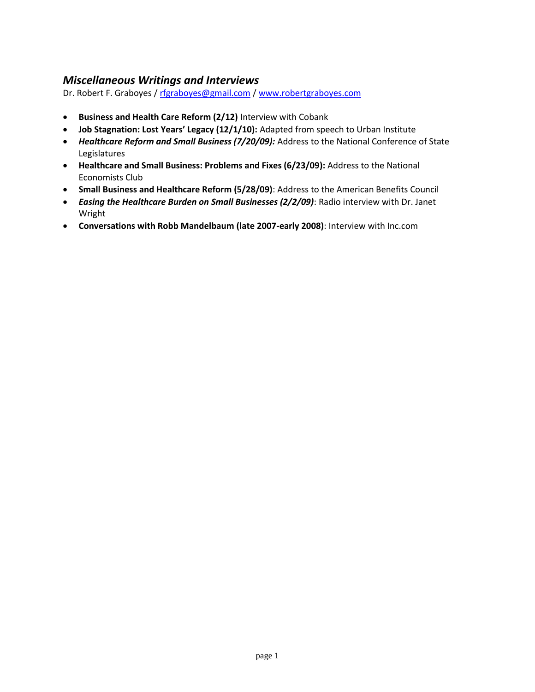### *Miscellaneous Writings and Interviews*

Dr. Robert F. Graboyes / [rfgraboyes@gmail.com](mailto:rfgraboyes@gmail.com) / [www.robertgraboyes.com](http://www.robertgraboyes.com/)

- **Business and Health Care Reform (2/12)** Interview with Cobank
- **Job Stagnation: Lost Years' Legacy (12/1/10):** Adapted from speech to Urban Institute
- *Healthcare Reform and Small Business (7/20/09):* Address to the National Conference of State Legislatures
- **Healthcare and Small Business: Problems and Fixes (6/23/09):** Address to the National Economists Club
- **Small Business and Healthcare Reform (5/28/09)**: Address to the American Benefits Council
- *Easing the Healthcare Burden on Small Businesses (2/2/09)*: Radio interview with Dr. Janet Wright
- **Conversations with Robb Mandelbaum (late 2007-early 2008)**: Interview with Inc.com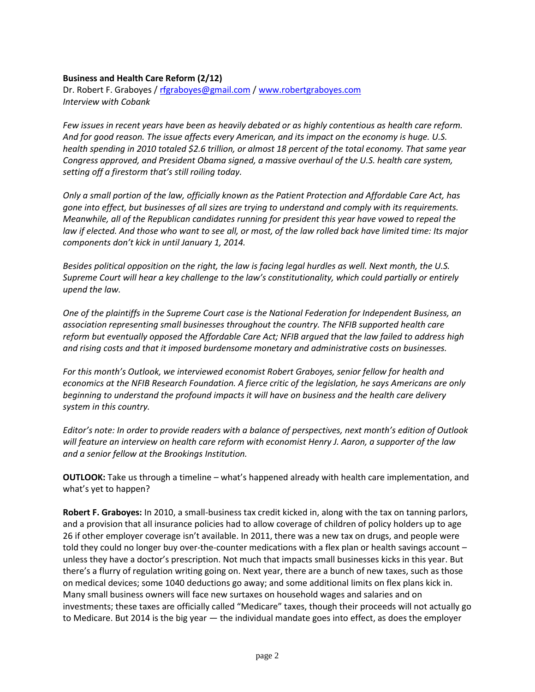### **Business and Health Care Reform (2/12)**

Dr. Robert F. Graboyes / [rfgraboyes@gmail.com](mailto:rfgraboyes@gmail.com) / [www.robertgraboyes.com](http://www.robertgraboyes.com/) *Interview with Cobank*

*Few issues in recent years have been as heavily debated or as highly contentious as health care reform. And for good reason. The issue affects every American, and its impact on the economy is huge. U.S. health spending in 2010 totaled \$2.6 trillion, or almost 18 percent of the total economy. That same year Congress approved, and President Obama signed, a massive overhaul of the U.S. health care system, setting off a firestorm that's still roiling today.* 

*Only a small portion of the law, officially known as the Patient Protection and Affordable Care Act, has gone into effect, but businesses of all sizes are trying to understand and comply with its requirements. Meanwhile, all of the Republican candidates running for president this year have vowed to repeal the law if elected. And those who want to see all, or most, of the law rolled back have limited time: Its major components don't kick in until January 1, 2014.* 

*Besides political opposition on the right, the law is facing legal hurdles as well. Next month, the U.S. Supreme Court will hear a key challenge to the law's constitutionality, which could partially or entirely upend the law.* 

*One of the plaintiffs in the Supreme Court case is the National Federation for Independent Business, an association representing small businesses throughout the country. The NFIB supported health care reform but eventually opposed the Affordable Care Act; NFIB argued that the law failed to address high and rising costs and that it imposed burdensome monetary and administrative costs on businesses.* 

*For this month's Outlook, we interviewed economist Robert Graboyes, senior fellow for health and economics at the NFIB Research Foundation. A fierce critic of the legislation, he says Americans are only beginning to understand the profound impacts it will have on business and the health care delivery system in this country.* 

*Editor's note: In order to provide readers with a balance of perspectives, next month's edition of Outlook will feature an interview on health care reform with economist Henry J. Aaron, a supporter of the law and a senior fellow at the Brookings Institution.*

**OUTLOOK:** Take us through a timeline – what's happened already with health care implementation, and what's yet to happen?

**Robert F. Graboyes:** In 2010, a small-business tax credit kicked in, along with the tax on tanning parlors, and a provision that all insurance policies had to allow coverage of children of policy holders up to age 26 if other employer coverage isn't available. In 2011, there was a new tax on drugs, and people were told they could no longer buy over-the-counter medications with a flex plan or health savings account – unless they have a doctor's prescription. Not much that impacts small businesses kicks in this year. But there's a flurry of regulation writing going on. Next year, there are a bunch of new taxes, such as those on medical devices; some 1040 deductions go away; and some additional limits on flex plans kick in. Many small business owners will face new surtaxes on household wages and salaries and on investments; these taxes are officially called "Medicare" taxes, though their proceeds will not actually go to Medicare. But 2014 is the big year — the individual mandate goes into effect, as does the employer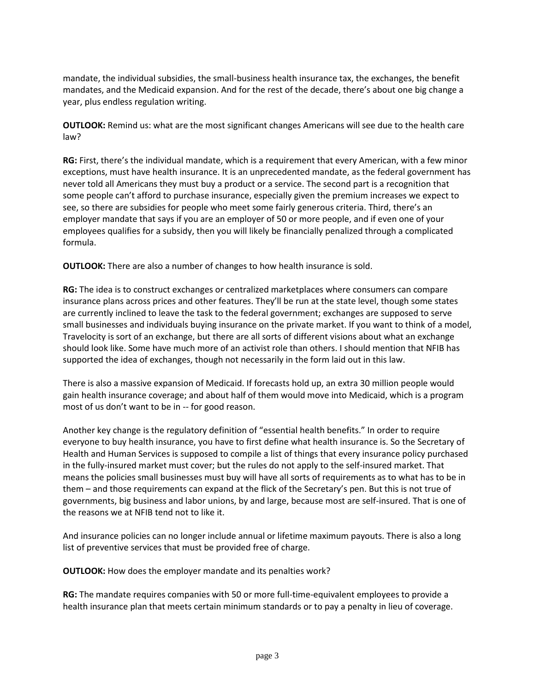mandate, the individual subsidies, the small-business health insurance tax, the exchanges, the benefit mandates, and the Medicaid expansion. And for the rest of the decade, there's about one big change a year, plus endless regulation writing.

**OUTLOOK:** Remind us: what are the most significant changes Americans will see due to the health care law?

**RG:** First, there's the individual mandate, which is a requirement that every American, with a few minor exceptions, must have health insurance. It is an unprecedented mandate, as the federal government has never told all Americans they must buy a product or a service. The second part is a recognition that some people can't afford to purchase insurance, especially given the premium increases we expect to see, so there are subsidies for people who meet some fairly generous criteria. Third, there's an employer mandate that says if you are an employer of 50 or more people, and if even one of your employees qualifies for a subsidy, then you will likely be financially penalized through a complicated formula.

**OUTLOOK:** There are also a number of changes to how health insurance is sold.

**RG:** The idea is to construct exchanges or centralized marketplaces where consumers can compare insurance plans across prices and other features. They'll be run at the state level, though some states are currently inclined to leave the task to the federal government; exchanges are supposed to serve small businesses and individuals buying insurance on the private market. If you want to think of a model, Travelocity is sort of an exchange, but there are all sorts of different visions about what an exchange should look like. Some have much more of an activist role than others. I should mention that NFIB has supported the idea of exchanges, though not necessarily in the form laid out in this law.

There is also a massive expansion of Medicaid. If forecasts hold up, an extra 30 million people would gain health insurance coverage; and about half of them would move into Medicaid, which is a program most of us don't want to be in -- for good reason.

Another key change is the regulatory definition of "essential health benefits." In order to require everyone to buy health insurance, you have to first define what health insurance is. So the Secretary of Health and Human Services is supposed to compile a list of things that every insurance policy purchased in the fully-insured market must cover; but the rules do not apply to the self-insured market. That means the policies small businesses must buy will have all sorts of requirements as to what has to be in them – and those requirements can expand at the flick of the Secretary's pen. But this is not true of governments, big business and labor unions, by and large, because most are self-insured. That is one of the reasons we at NFIB tend not to like it.

And insurance policies can no longer include annual or lifetime maximum payouts. There is also a long list of preventive services that must be provided free of charge.

**OUTLOOK:** How does the employer mandate and its penalties work?

**RG:** The mandate requires companies with 50 or more full-time-equivalent employees to provide a health insurance plan that meets certain minimum standards or to pay a penalty in lieu of coverage.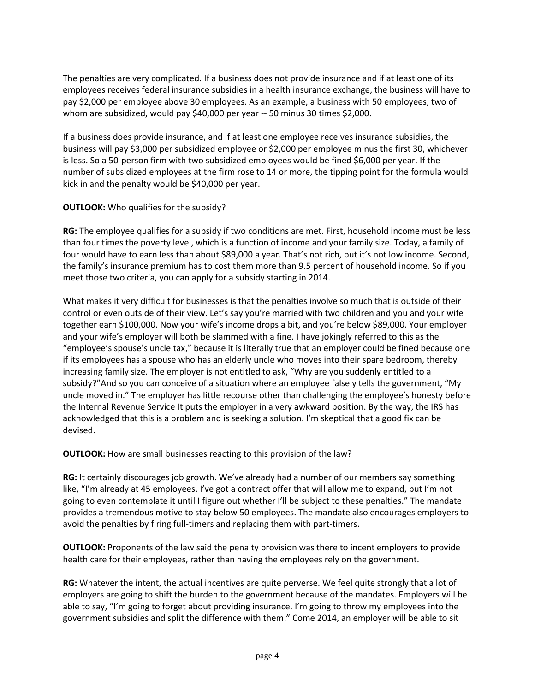The penalties are very complicated. If a business does not provide insurance and if at least one of its employees receives federal insurance subsidies in a health insurance exchange, the business will have to pay \$2,000 per employee above 30 employees. As an example, a business with 50 employees, two of whom are subsidized, would pay \$40,000 per year -- 50 minus 30 times \$2,000.

If a business does provide insurance, and if at least one employee receives insurance subsidies, the business will pay \$3,000 per subsidized employee or \$2,000 per employee minus the first 30, whichever is less. So a 50-person firm with two subsidized employees would be fined \$6,000 per year. If the number of subsidized employees at the firm rose to 14 or more, the tipping point for the formula would kick in and the penalty would be \$40,000 per year.

### **OUTLOOK:** Who qualifies for the subsidy?

**RG:** The employee qualifies for a subsidy if two conditions are met. First, household income must be less than four times the poverty level, which is a function of income and your family size. Today, a family of four would have to earn less than about \$89,000 a year. That's not rich, but it's not low income. Second, the family's insurance premium has to cost them more than 9.5 percent of household income. So if you meet those two criteria, you can apply for a subsidy starting in 2014.

What makes it very difficult for businesses is that the penalties involve so much that is outside of their control or even outside of their view. Let's say you're married with two children and you and your wife together earn \$100,000. Now your wife's income drops a bit, and you're below \$89,000. Your employer and your wife's employer will both be slammed with a fine. I have jokingly referred to this as the "employee's spouse's uncle tax," because it is literally true that an employer could be fined because one if its employees has a spouse who has an elderly uncle who moves into their spare bedroom, thereby increasing family size. The employer is not entitled to ask, "Why are you suddenly entitled to a subsidy?"And so you can conceive of a situation where an employee falsely tells the government, "My uncle moved in." The employer has little recourse other than challenging the employee's honesty before the Internal Revenue Service It puts the employer in a very awkward position. By the way, the IRS has acknowledged that this is a problem and is seeking a solution. I'm skeptical that a good fix can be devised.

**OUTLOOK:** How are small businesses reacting to this provision of the law?

**RG:** It certainly discourages job growth. We've already had a number of our members say something like, "I'm already at 45 employees, I've got a contract offer that will allow me to expand, but I'm not going to even contemplate it until I figure out whether I'll be subject to these penalties." The mandate provides a tremendous motive to stay below 50 employees. The mandate also encourages employers to avoid the penalties by firing full-timers and replacing them with part-timers.

**OUTLOOK:** Proponents of the law said the penalty provision was there to incent employers to provide health care for their employees, rather than having the employees rely on the government.

**RG:** Whatever the intent, the actual incentives are quite perverse. We feel quite strongly that a lot of employers are going to shift the burden to the government because of the mandates. Employers will be able to say, "I'm going to forget about providing insurance. I'm going to throw my employees into the government subsidies and split the difference with them." Come 2014, an employer will be able to sit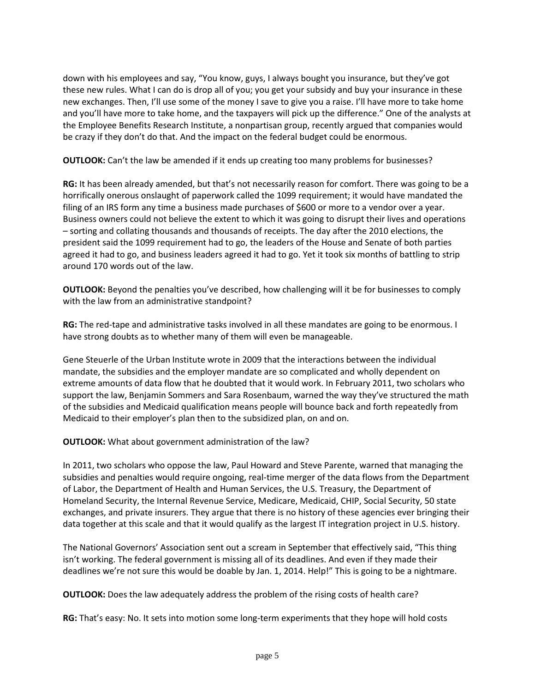down with his employees and say, "You know, guys, I always bought you insurance, but they've got these new rules. What I can do is drop all of you; you get your subsidy and buy your insurance in these new exchanges. Then, I'll use some of the money I save to give you a raise. I'll have more to take home and you'll have more to take home, and the taxpayers will pick up the difference." One of the analysts at the Employee Benefits Research Institute, a nonpartisan group, recently argued that companies would be crazy if they don't do that. And the impact on the federal budget could be enormous.

**OUTLOOK:** Can't the law be amended if it ends up creating too many problems for businesses?

**RG:** It has been already amended, but that's not necessarily reason for comfort. There was going to be a horrifically onerous onslaught of paperwork called the 1099 requirement; it would have mandated the filing of an IRS form any time a business made purchases of \$600 or more to a vendor over a year. Business owners could not believe the extent to which it was going to disrupt their lives and operations – sorting and collating thousands and thousands of receipts. The day after the 2010 elections, the president said the 1099 requirement had to go, the leaders of the House and Senate of both parties agreed it had to go, and business leaders agreed it had to go. Yet it took six months of battling to strip around 170 words out of the law.

**OUTLOOK:** Beyond the penalties you've described, how challenging will it be for businesses to comply with the law from an administrative standpoint?

**RG:** The red-tape and administrative tasks involved in all these mandates are going to be enormous. I have strong doubts as to whether many of them will even be manageable.

Gene Steuerle of the Urban Institute wrote in 2009 that the interactions between the individual mandate, the subsidies and the employer mandate are so complicated and wholly dependent on extreme amounts of data flow that he doubted that it would work. In February 2011, two scholars who support the law, Benjamin Sommers and Sara Rosenbaum, warned the way they've structured the math of the subsidies and Medicaid qualification means people will bounce back and forth repeatedly from Medicaid to their employer's plan then to the subsidized plan, on and on.

**OUTLOOK:** What about government administration of the law?

In 2011, two scholars who oppose the law, Paul Howard and Steve Parente, warned that managing the subsidies and penalties would require ongoing, real-time merger of the data flows from the Department of Labor, the Department of Health and Human Services, the U.S. Treasury, the Department of Homeland Security, the Internal Revenue Service, Medicare, Medicaid, CHIP, Social Security, 50 state exchanges, and private insurers. They argue that there is no history of these agencies ever bringing their data together at this scale and that it would qualify as the largest IT integration project in U.S. history.

The National Governors' Association sent out a scream in September that effectively said, "This thing isn't working. The federal government is missing all of its deadlines. And even if they made their deadlines we're not sure this would be doable by Jan. 1, 2014. Help!" This is going to be a nightmare.

**OUTLOOK:** Does the law adequately address the problem of the rising costs of health care?

**RG:** That's easy: No. It sets into motion some long-term experiments that they hope will hold costs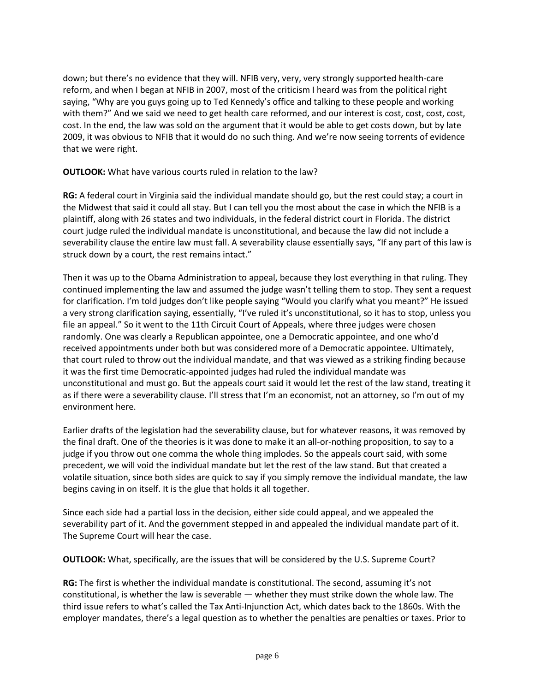down; but there's no evidence that they will. NFIB very, very, very strongly supported health-care reform, and when I began at NFIB in 2007, most of the criticism I heard was from the political right saying, "Why are you guys going up to Ted Kennedy's office and talking to these people and working with them?" And we said we need to get health care reformed, and our interest is cost, cost, cost, cost, cost. In the end, the law was sold on the argument that it would be able to get costs down, but by late 2009, it was obvious to NFIB that it would do no such thing. And we're now seeing torrents of evidence that we were right.

**OUTLOOK:** What have various courts ruled in relation to the law?

**RG:** A federal court in Virginia said the individual mandate should go, but the rest could stay; a court in the Midwest that said it could all stay. But I can tell you the most about the case in which the NFIB is a plaintiff, along with 26 states and two individuals, in the federal district court in Florida. The district court judge ruled the individual mandate is unconstitutional, and because the law did not include a severability clause the entire law must fall. A severability clause essentially says, "If any part of this law is struck down by a court, the rest remains intact."

Then it was up to the Obama Administration to appeal, because they lost everything in that ruling. They continued implementing the law and assumed the judge wasn't telling them to stop. They sent a request for clarification. I'm told judges don't like people saying "Would you clarify what you meant?" He issued a very strong clarification saying, essentially, "I've ruled it's unconstitutional, so it has to stop, unless you file an appeal." So it went to the 11th Circuit Court of Appeals, where three judges were chosen randomly. One was clearly a Republican appointee, one a Democratic appointee, and one who'd received appointments under both but was considered more of a Democratic appointee. Ultimately, that court ruled to throw out the individual mandate, and that was viewed as a striking finding because it was the first time Democratic-appointed judges had ruled the individual mandate was unconstitutional and must go. But the appeals court said it would let the rest of the law stand, treating it as if there were a severability clause. I'll stress that I'm an economist, not an attorney, so I'm out of my environment here.

Earlier drafts of the legislation had the severability clause, but for whatever reasons, it was removed by the final draft. One of the theories is it was done to make it an all-or-nothing proposition, to say to a judge if you throw out one comma the whole thing implodes. So the appeals court said, with some precedent, we will void the individual mandate but let the rest of the law stand. But that created a volatile situation, since both sides are quick to say if you simply remove the individual mandate, the law begins caving in on itself. It is the glue that holds it all together.

Since each side had a partial loss in the decision, either side could appeal, and we appealed the severability part of it. And the government stepped in and appealed the individual mandate part of it. The Supreme Court will hear the case.

**OUTLOOK:** What, specifically, are the issues that will be considered by the U.S. Supreme Court?

**RG:** The first is whether the individual mandate is constitutional. The second, assuming it's not constitutional, is whether the law is severable — whether they must strike down the whole law. The third issue refers to what's called the Tax Anti-Injunction Act, which dates back to the 1860s. With the employer mandates, there's a legal question as to whether the penalties are penalties or taxes. Prior to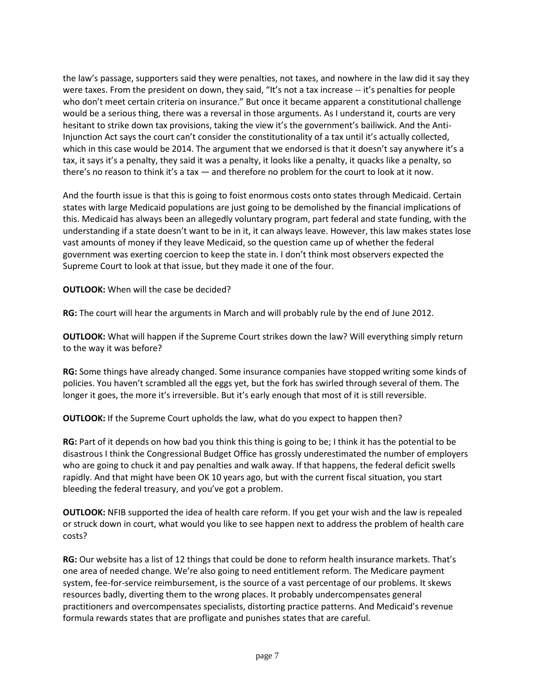the law's passage, supporters said they were penalties, not taxes, and nowhere in the law did it say they were taxes. From the president on down, they said, "It's not a tax increase -- it's penalties for people who don't meet certain criteria on insurance." But once it became apparent a constitutional challenge would be a serious thing, there was a reversal in those arguments. As I understand it, courts are very hesitant to strike down tax provisions, taking the view it's the government's bailiwick. And the Anti-Injunction Act says the court can't consider the constitutionality of a tax until it's actually collected, which in this case would be 2014. The argument that we endorsed is that it doesn't say anywhere it's a tax, it says it's a penalty, they said it was a penalty, it looks like a penalty, it quacks like a penalty, so there's no reason to think it's a tax — and therefore no problem for the court to look at it now.

And the fourth issue is that this is going to foist enormous costs onto states through Medicaid. Certain states with large Medicaid populations are just going to be demolished by the financial implications of this. Medicaid has always been an allegedly voluntary program, part federal and state funding, with the understanding if a state doesn't want to be in it, it can always leave. However, this law makes states lose vast amounts of money if they leave Medicaid, so the question came up of whether the federal government was exerting coercion to keep the state in. I don't think most observers expected the Supreme Court to look at that issue, but they made it one of the four.

**OUTLOOK:** When will the case be decided?

**RG:** The court will hear the arguments in March and will probably rule by the end of June 2012.

**OUTLOOK:** What will happen if the Supreme Court strikes down the law? Will everything simply return to the way it was before?

**RG:** Some things have already changed. Some insurance companies have stopped writing some kinds of policies. You haven't scrambled all the eggs yet, but the fork has swirled through several of them. The longer it goes, the more it's irreversible. But it's early enough that most of it is still reversible.

**OUTLOOK:** If the Supreme Court upholds the law, what do you expect to happen then?

**RG:** Part of it depends on how bad you think this thing is going to be; I think it has the potential to be disastrous I think the Congressional Budget Office has grossly underestimated the number of employers who are going to chuck it and pay penalties and walk away. If that happens, the federal deficit swells rapidly. And that might have been OK 10 years ago, but with the current fiscal situation, you start bleeding the federal treasury, and you've got a problem.

**OUTLOOK:** NFIB supported the idea of health care reform. If you get your wish and the law is repealed or struck down in court, what would you like to see happen next to address the problem of health care costs?

**RG:** Our website has a list of 12 things that could be done to reform health insurance markets. That's one area of needed change. We're also going to need entitlement reform. The Medicare payment system, fee-for-service reimbursement, is the source of a vast percentage of our problems. It skews resources badly, diverting them to the wrong places. It probably undercompensates general practitioners and overcompensates specialists, distorting practice patterns. And Medicaid's revenue formula rewards states that are profligate and punishes states that are careful.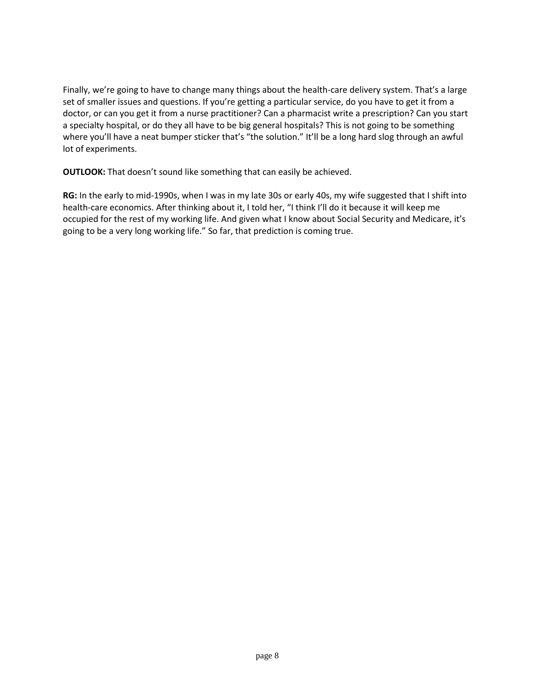Finally, we're going to have to change many things about the health-care delivery system. That's a large set of smaller issues and questions. If you're getting a particular service, do you have to get it from a doctor, or can you get it from a nurse practitioner? Can a pharmacist write a prescription? Can you start a specialty hospital, or do they all have to be big general hospitals? This is not going to be something where you'll have a neat bumper sticker that's "the solution." It'll be a long hard slog through an awful lot of experiments.

**OUTLOOK:** That doesn't sound like something that can easily be achieved.

**RG:** In the early to mid-1990s, when I was in my late 30s or early 40s, my wife suggested that I shift into health-care economics. After thinking about it, I told her, "I think I'll do it because it will keep me occupied for the rest of my working life. And given what I know about Social Security and Medicare, it's going to be a very long working life." So far, that prediction is coming true.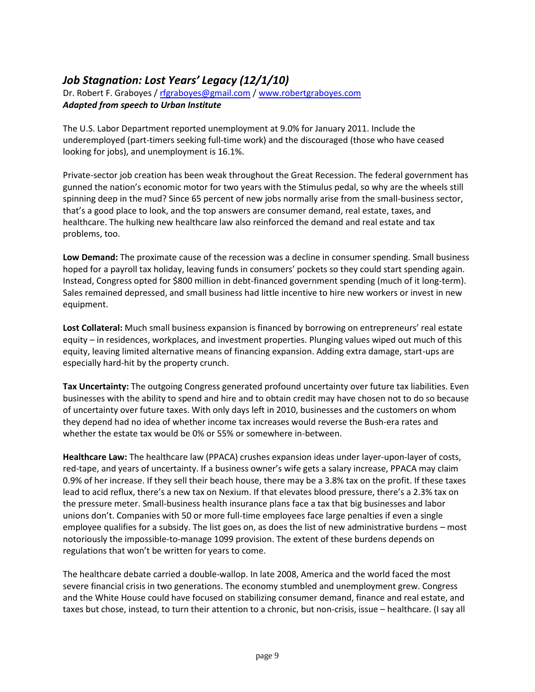# *Job Stagnation: Lost Years' Legacy (12/1/10)*

Dr. Robert F. Graboyes / [rfgraboyes@gmail.com](mailto:rfgraboyes@gmail.com) / [www.robertgraboyes.com](http://www.robertgraboyes.com/) *Adapted from speech to Urban Institute*

The U.S. Labor Department reported unemployment at 9.0% for January 2011. Include the underemployed (part-timers seeking full-time work) and the discouraged (those who have ceased looking for jobs), and unemployment is 16.1%.

Private-sector job creation has been weak throughout the Great Recession. The federal government has gunned the nation's economic motor for two years with the Stimulus pedal, so why are the wheels still spinning deep in the mud? Since 65 percent of new jobs normally arise from the small-business sector, that's a good place to look, and the top answers are consumer demand, real estate, taxes, and healthcare. The hulking new healthcare law also reinforced the demand and real estate and tax problems, too.

**Low Demand:** The proximate cause of the recession was a decline in consumer spending. Small business hoped for a payroll tax holiday, leaving funds in consumers' pockets so they could start spending again. Instead, Congress opted for \$800 million in debt-financed government spending (much of it long-term). Sales remained depressed, and small business had little incentive to hire new workers or invest in new equipment.

**Lost Collateral:** Much small business expansion is financed by borrowing on entrepreneurs' real estate equity – in residences, workplaces, and investment properties. Plunging values wiped out much of this equity, leaving limited alternative means of financing expansion. Adding extra damage, start-ups are especially hard-hit by the property crunch.

**Tax Uncertainty:** The outgoing Congress generated profound uncertainty over future tax liabilities. Even businesses with the ability to spend and hire and to obtain credit may have chosen not to do so because of uncertainty over future taxes. With only days left in 2010, businesses and the customers on whom they depend had no idea of whether income tax increases would reverse the Bush-era rates and whether the estate tax would be 0% or 55% or somewhere in-between.

**Healthcare Law:** The healthcare law (PPACA) crushes expansion ideas under layer-upon-layer of costs, red-tape, and years of uncertainty. If a business owner's wife gets a salary increase, PPACA may claim 0.9% of her increase. If they sell their beach house, there may be a 3.8% tax on the profit. If these taxes lead to acid reflux, there's a new tax on Nexium. If that elevates blood pressure, there's a 2.3% tax on the pressure meter. Small-business health insurance plans face a tax that big businesses and labor unions don't. Companies with 50 or more full-time employees face large penalties if even a single employee qualifies for a subsidy. The list goes on, as does the list of new administrative burdens – most notoriously the impossible-to-manage 1099 provision. The extent of these burdens depends on regulations that won't be written for years to come.

The healthcare debate carried a double-wallop. In late 2008, America and the world faced the most severe financial crisis in two generations. The economy stumbled and unemployment grew. Congress and the White House could have focused on stabilizing consumer demand, finance and real estate, and taxes but chose, instead, to turn their attention to a chronic, but non-crisis, issue – healthcare. (I say all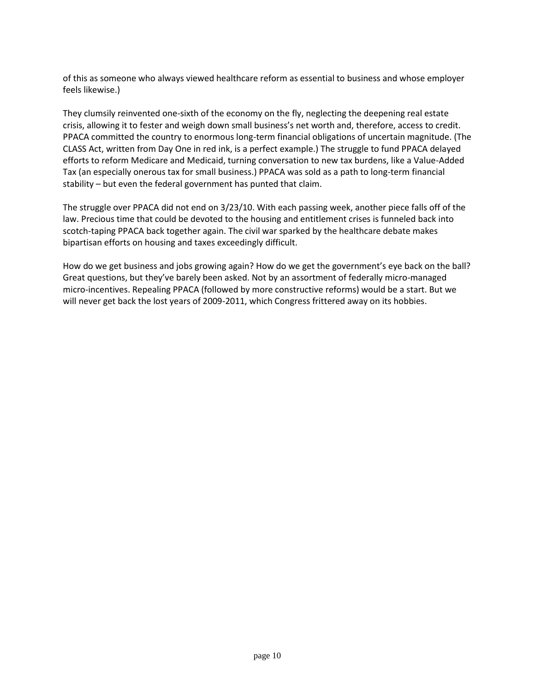of this as someone who always viewed healthcare reform as essential to business and whose employer feels likewise.)

They clumsily reinvented one-sixth of the economy on the fly, neglecting the deepening real estate crisis, allowing it to fester and weigh down small business's net worth and, therefore, access to credit. PPACA committed the country to enormous long-term financial obligations of uncertain magnitude. (The CLASS Act, written from Day One in red ink, is a perfect example.) The struggle to fund PPACA delayed efforts to reform Medicare and Medicaid, turning conversation to new tax burdens, like a Value-Added Tax (an especially onerous tax for small business.) PPACA was sold as a path to long-term financial stability – but even the federal government has punted that claim.

The struggle over PPACA did not end on 3/23/10. With each passing week, another piece falls off of the law. Precious time that could be devoted to the housing and entitlement crises is funneled back into scotch-taping PPACA back together again. The civil war sparked by the healthcare debate makes bipartisan efforts on housing and taxes exceedingly difficult.

How do we get business and jobs growing again? How do we get the government's eye back on the ball? Great questions, but they've barely been asked. Not by an assortment of federally micro-managed micro-incentives. Repealing PPACA (followed by more constructive reforms) would be a start. But we will never get back the lost years of 2009-2011, which Congress frittered away on its hobbies.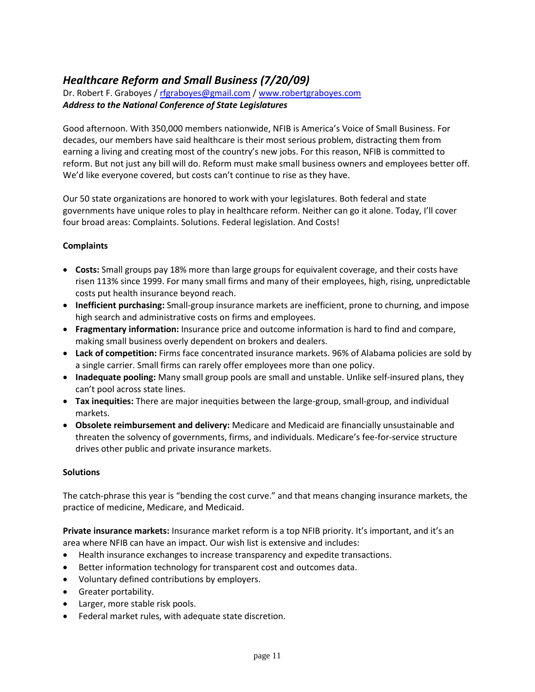## *Healthcare Reform and Small Business (7/20/09)*

Dr. Robert F. Graboyes / [rfgraboyes@gmail.com](mailto:rfgraboyes@gmail.com) / [www.robertgraboyes.com](http://www.robertgraboyes.com/) *Address to the National Conference of State Legislatures*

Good afternoon. With 350,000 members nationwide, NFIB is America's Voice of Small Business. For decades, our members have said healthcare is their most serious problem, distracting them from earning a living and creating most of the country's new jobs. For this reason, NFIB is committed to reform. But not just any bill will do. Reform must make small business owners and employees better off. We'd like everyone covered, but costs can't continue to rise as they have.

Our 50 state organizations are honored to work with your legislatures. Both federal and state governments have unique roles to play in healthcare reform. Neither can go it alone. Today, I'll cover four broad areas: Complaints. Solutions. Federal legislation. And Costs!

### **Complaints**

- **Costs:** Small groups pay 18% more than large groups for equivalent coverage, and their costs have risen 113% since 1999. For many small firms and many of their employees, high, rising, unpredictable costs put health insurance beyond reach.
- **Inefficient purchasing:** Small-group insurance markets are inefficient, prone to churning, and impose high search and administrative costs on firms and employees.
- **Fragmentary information:** Insurance price and outcome information is hard to find and compare, making small business overly dependent on brokers and dealers.
- **Lack of competition:** Firms face concentrated insurance markets. 96% of Alabama policies are sold by a single carrier. Small firms can rarely offer employees more than one policy.
- **Inadequate pooling:** Many small group pools are small and unstable. Unlike self-insured plans, they can't pool across state lines.
- **Tax inequities:** There are major inequities between the large-group, small-group, and individual markets.
- **Obsolete reimbursement and delivery:** Medicare and Medicaid are financially unsustainable and threaten the solvency of governments, firms, and individuals. Medicare's fee-for-service structure drives other public and private insurance markets.

### **Solutions**

The catch-phrase this year is "bending the cost curve." and that means changing insurance markets, the practice of medicine, Medicare, and Medicaid.

**Private insurance markets:** Insurance market reform is a top NFIB priority. It's important, and it's an area where NFIB can have an impact. Our wish list is extensive and includes:

- Health insurance exchanges to increase transparency and expedite transactions.
- Better information technology for transparent cost and outcomes data.
- Voluntary defined contributions by employers.
- Greater portability.
- Larger, more stable risk pools.
- Federal market rules, with adequate state discretion.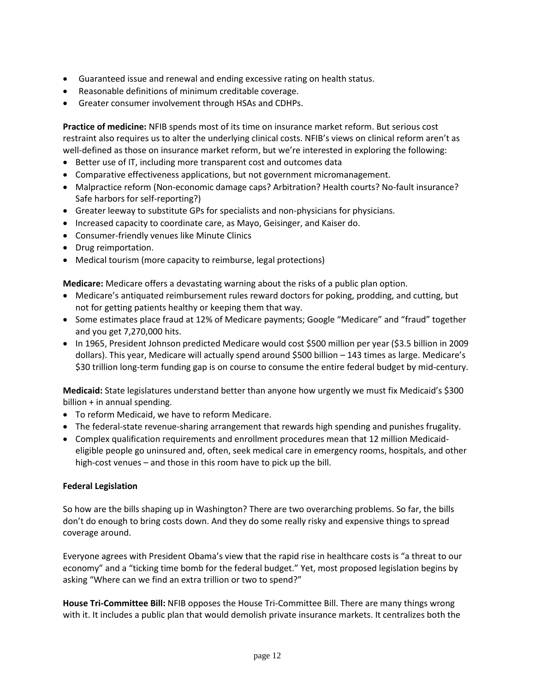- Guaranteed issue and renewal and ending excessive rating on health status.
- Reasonable definitions of minimum creditable coverage.
- Greater consumer involvement through HSAs and CDHPs.

**Practice of medicine:** NFIB spends most of its time on insurance market reform. But serious cost restraint also requires us to alter the underlying clinical costs. NFIB's views on clinical reform aren't as well-defined as those on insurance market reform, but we're interested in exploring the following:

- Better use of IT, including more transparent cost and outcomes data
- Comparative effectiveness applications, but not government micromanagement.
- Malpractice reform (Non-economic damage caps? Arbitration? Health courts? No-fault insurance? Safe harbors for self-reporting?)
- Greater leeway to substitute GPs for specialists and non-physicians for physicians.
- Increased capacity to coordinate care, as Mayo, Geisinger, and Kaiser do.
- Consumer-friendly venues like Minute Clinics
- Drug reimportation.
- Medical tourism (more capacity to reimburse, legal protections)

**Medicare:** Medicare offers a devastating warning about the risks of a public plan option.

- Medicare's antiquated reimbursement rules reward doctors for poking, prodding, and cutting, but not for getting patients healthy or keeping them that way.
- Some estimates place fraud at 12% of Medicare payments; Google "Medicare" and "fraud" together and you get 7,270,000 hits.
- In 1965, President Johnson predicted Medicare would cost \$500 million per year (\$3.5 billion in 2009 dollars). This year, Medicare will actually spend around \$500 billion – 143 times as large. Medicare's \$30 trillion long-term funding gap is on course to consume the entire federal budget by mid-century.

**Medicaid:** State legislatures understand better than anyone how urgently we must fix Medicaid's \$300 billion + in annual spending.

- To reform Medicaid, we have to reform Medicare.
- The federal-state revenue-sharing arrangement that rewards high spending and punishes frugality.
- Complex qualification requirements and enrollment procedures mean that 12 million Medicaideligible people go uninsured and, often, seek medical care in emergency rooms, hospitals, and other high-cost venues – and those in this room have to pick up the bill.

### **Federal Legislation**

So how are the bills shaping up in Washington? There are two overarching problems. So far, the bills don't do enough to bring costs down. And they do some really risky and expensive things to spread coverage around.

Everyone agrees with President Obama's view that the rapid rise in healthcare costs is "a threat to our economy" and a "ticking time bomb for the federal budget." Yet, most proposed legislation begins by asking "Where can we find an extra trillion or two to spend?"

**House Tri-Committee Bill:** NFIB opposes the House Tri-Committee Bill. There are many things wrong with it. It includes a public plan that would demolish private insurance markets. It centralizes both the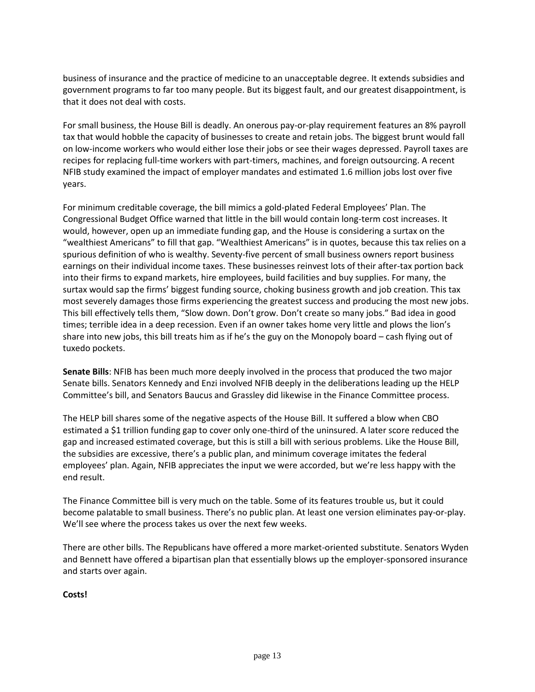business of insurance and the practice of medicine to an unacceptable degree. It extends subsidies and government programs to far too many people. But its biggest fault, and our greatest disappointment, is that it does not deal with costs.

For small business, the House Bill is deadly. An onerous pay-or-play requirement features an 8% payroll tax that would hobble the capacity of businesses to create and retain jobs. The biggest brunt would fall on low-income workers who would either lose their jobs or see their wages depressed. Payroll taxes are recipes for replacing full-time workers with part-timers, machines, and foreign outsourcing. A recent NFIB study examined the impact of employer mandates and estimated 1.6 million jobs lost over five years.

For minimum creditable coverage, the bill mimics a gold-plated Federal Employees' Plan. The Congressional Budget Office warned that little in the bill would contain long-term cost increases. It would, however, open up an immediate funding gap, and the House is considering a surtax on the "wealthiest Americans" to fill that gap. "Wealthiest Americans" is in quotes, because this tax relies on a spurious definition of who is wealthy. Seventy-five percent of small business owners report business earnings on their individual income taxes. These businesses reinvest lots of their after-tax portion back into their firms to expand markets, hire employees, build facilities and buy supplies. For many, the surtax would sap the firms' biggest funding source, choking business growth and job creation. This tax most severely damages those firms experiencing the greatest success and producing the most new jobs. This bill effectively tells them, "Slow down. Don't grow. Don't create so many jobs." Bad idea in good times; terrible idea in a deep recession. Even if an owner takes home very little and plows the lion's share into new jobs, this bill treats him as if he's the guy on the Monopoly board – cash flying out of tuxedo pockets.

**Senate Bills**: NFIB has been much more deeply involved in the process that produced the two major Senate bills. Senators Kennedy and Enzi involved NFIB deeply in the deliberations leading up the HELP Committee's bill, and Senators Baucus and Grassley did likewise in the Finance Committee process.

The HELP bill shares some of the negative aspects of the House Bill. It suffered a blow when CBO estimated a \$1 trillion funding gap to cover only one-third of the uninsured. A later score reduced the gap and increased estimated coverage, but this is still a bill with serious problems. Like the House Bill, the subsidies are excessive, there's a public plan, and minimum coverage imitates the federal employees' plan. Again, NFIB appreciates the input we were accorded, but we're less happy with the end result.

The Finance Committee bill is very much on the table. Some of its features trouble us, but it could become palatable to small business. There's no public plan. At least one version eliminates pay-or-play. We'll see where the process takes us over the next few weeks.

There are other bills. The Republicans have offered a more market-oriented substitute. Senators Wyden and Bennett have offered a bipartisan plan that essentially blows up the employer-sponsored insurance and starts over again.

**Costs!**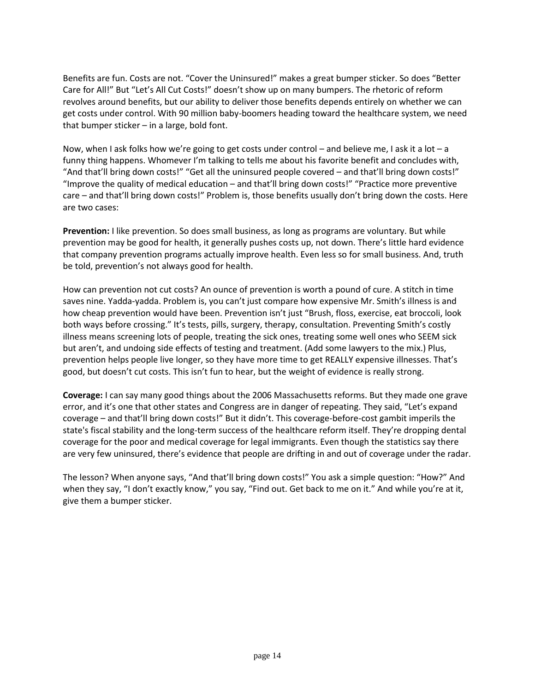Benefits are fun. Costs are not. "Cover the Uninsured!" makes a great bumper sticker. So does "Better Care for All!" But "Let's All Cut Costs!" doesn't show up on many bumpers. The rhetoric of reform revolves around benefits, but our ability to deliver those benefits depends entirely on whether we can get costs under control. With 90 million baby-boomers heading toward the healthcare system, we need that bumper sticker – in a large, bold font.

Now, when I ask folks how we're going to get costs under control – and believe me, I ask it a lot – a funny thing happens. Whomever I'm talking to tells me about his favorite benefit and concludes with, "And that'll bring down costs!" "Get all the uninsured people covered – and that'll bring down costs!" "Improve the quality of medical education – and that'll bring down costs!" "Practice more preventive care – and that'll bring down costs!" Problem is, those benefits usually don't bring down the costs. Here are two cases:

**Prevention:** I like prevention. So does small business, as long as programs are voluntary. But while prevention may be good for health, it generally pushes costs up, not down. There's little hard evidence that company prevention programs actually improve health. Even less so for small business. And, truth be told, prevention's not always good for health.

How can prevention not cut costs? An ounce of prevention is worth a pound of cure. A stitch in time saves nine. Yadda-yadda. Problem is, you can't just compare how expensive Mr. Smith's illness is and how cheap prevention would have been. Prevention isn't just "Brush, floss, exercise, eat broccoli, look both ways before crossing." It's tests, pills, surgery, therapy, consultation. Preventing Smith's costly illness means screening lots of people, treating the sick ones, treating some well ones who SEEM sick but aren't, and undoing side effects of testing and treatment. (Add some lawyers to the mix.) Plus, prevention helps people live longer, so they have more time to get REALLY expensive illnesses. That's good, but doesn't cut costs. This isn't fun to hear, but the weight of evidence is really strong.

**Coverage:** I can say many good things about the 2006 Massachusetts reforms. But they made one grave error, and it's one that other states and Congress are in danger of repeating. They said, "Let's expand coverage – and that'll bring down costs!" But it didn't. This coverage-before-cost gambit imperils the state's fiscal stability and the long-term success of the healthcare reform itself. They're dropping dental coverage for the poor and medical coverage for legal immigrants. Even though the statistics say there are very few uninsured, there's evidence that people are drifting in and out of coverage under the radar.

The lesson? When anyone says, "And that'll bring down costs!" You ask a simple question: "How?" And when they say, "I don't exactly know," you say, "Find out. Get back to me on it." And while you're at it, give them a bumper sticker.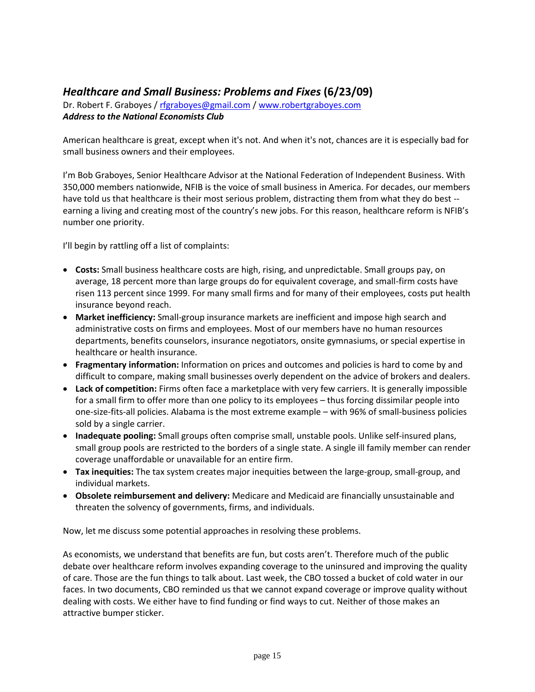### *Healthcare and Small Business: Problems and Fixes* **(6/23/09)**

Dr. Robert F. Graboyes / [rfgraboyes@gmail.com](mailto:rfgraboyes@gmail.com) / [www.robertgraboyes.com](http://www.robertgraboyes.com/) *Address to the National Economists Club*

American healthcare is great, except when it's not. And when it's not, chances are it is especially bad for small business owners and their employees.

I'm Bob Graboyes, Senior Healthcare Advisor at the National Federation of Independent Business. With 350,000 members nationwide, NFIB is the voice of small business in America. For decades, our members have told us that healthcare is their most serious problem, distracting them from what they do best -earning a living and creating most of the country's new jobs. For this reason, healthcare reform is NFIB's number one priority.

I'll begin by rattling off a list of complaints:

- **Costs:** Small business healthcare costs are high, rising, and unpredictable. Small groups pay, on average, 18 percent more than large groups do for equivalent coverage, and small-firm costs have risen 113 percent since 1999. For many small firms and for many of their employees, costs put health insurance beyond reach.
- **Market inefficiency:** Small-group insurance markets are inefficient and impose high search and administrative costs on firms and employees. Most of our members have no human resources departments, benefits counselors, insurance negotiators, onsite gymnasiums, or special expertise in healthcare or health insurance.
- **Fragmentary information:** Information on prices and outcomes and policies is hard to come by and difficult to compare, making small businesses overly dependent on the advice of brokers and dealers.
- **Lack of competition:** Firms often face a marketplace with very few carriers. It is generally impossible for a small firm to offer more than one policy to its employees – thus forcing dissimilar people into one-size-fits-all policies. Alabama is the most extreme example – with 96% of small-business policies sold by a single carrier.
- **Inadequate pooling:** Small groups often comprise small, unstable pools. Unlike self-insured plans, small group pools are restricted to the borders of a single state. A single ill family member can render coverage unaffordable or unavailable for an entire firm.
- **Tax inequities:** The tax system creates major inequities between the large-group, small-group, and individual markets.
- **Obsolete reimbursement and delivery:** Medicare and Medicaid are financially unsustainable and threaten the solvency of governments, firms, and individuals.

Now, let me discuss some potential approaches in resolving these problems.

As economists, we understand that benefits are fun, but costs aren't. Therefore much of the public debate over healthcare reform involves expanding coverage to the uninsured and improving the quality of care. Those are the fun things to talk about. Last week, the CBO tossed a bucket of cold water in our faces. In two documents, CBO reminded us that we cannot expand coverage or improve quality without dealing with costs. We either have to find funding or find ways to cut. Neither of those makes an attractive bumper sticker.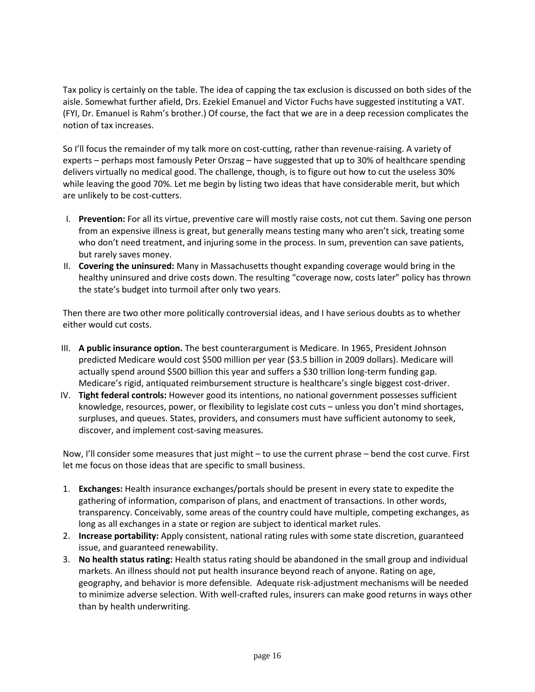Tax policy is certainly on the table. The idea of capping the tax exclusion is discussed on both sides of the aisle. Somewhat further afield, Drs. Ezekiel Emanuel and Victor Fuchs have suggested instituting a VAT. (FYI, Dr. Emanuel is Rahm's brother.) Of course, the fact that we are in a deep recession complicates the notion of tax increases.

So I'll focus the remainder of my talk more on cost-cutting, rather than revenue-raising. A variety of experts – perhaps most famously Peter Orszag – have suggested that up to 30% of healthcare spending delivers virtually no medical good. The challenge, though, is to figure out how to cut the useless 30% while leaving the good 70%. Let me begin by listing two ideas that have considerable merit, but which are unlikely to be cost-cutters.

- I. **Prevention:** For all its virtue, preventive care will mostly raise costs, not cut them. Saving one person from an expensive illness is great, but generally means testing many who aren't sick, treating some who don't need treatment, and injuring some in the process. In sum, prevention can save patients, but rarely saves money.
- II. **Covering the uninsured:** Many in Massachusetts thought expanding coverage would bring in the healthy uninsured and drive costs down. The resulting "coverage now, costs later" policy has thrown the state's budget into turmoil after only two years.

Then there are two other more politically controversial ideas, and I have serious doubts as to whether either would cut costs.

- III. **A public insurance option.** The best counterargument is Medicare. In 1965, President Johnson predicted Medicare would cost \$500 million per year (\$3.5 billion in 2009 dollars). Medicare will actually spend around \$500 billion this year and suffers a \$30 trillion long-term funding gap. Medicare's rigid, antiquated reimbursement structure is healthcare's single biggest cost-driver.
- IV. **Tight federal controls:** However good its intentions, no national government possesses sufficient knowledge, resources, power, or flexibility to legislate cost cuts – unless you don't mind shortages, surpluses, and queues. States, providers, and consumers must have sufficient autonomy to seek, discover, and implement cost-saving measures.

Now, I'll consider some measures that just might – to use the current phrase – bend the cost curve. First let me focus on those ideas that are specific to small business.

- 1. **Exchanges:** Health insurance exchanges/portals should be present in every state to expedite the gathering of information, comparison of plans, and enactment of transactions. In other words, transparency. Conceivably, some areas of the country could have multiple, competing exchanges, as long as all exchanges in a state or region are subject to identical market rules.
- 2. **Increase portability:** Apply consistent, national rating rules with some state discretion, guaranteed issue, and guaranteed renewability.
- 3. **No health status rating:** Health status rating should be abandoned in the small group and individual markets. An illness should not put health insurance beyond reach of anyone. Rating on age, geography, and behavior is more defensible. Adequate risk-adjustment mechanisms will be needed to minimize adverse selection. With well-crafted rules, insurers can make good returns in ways other than by health underwriting.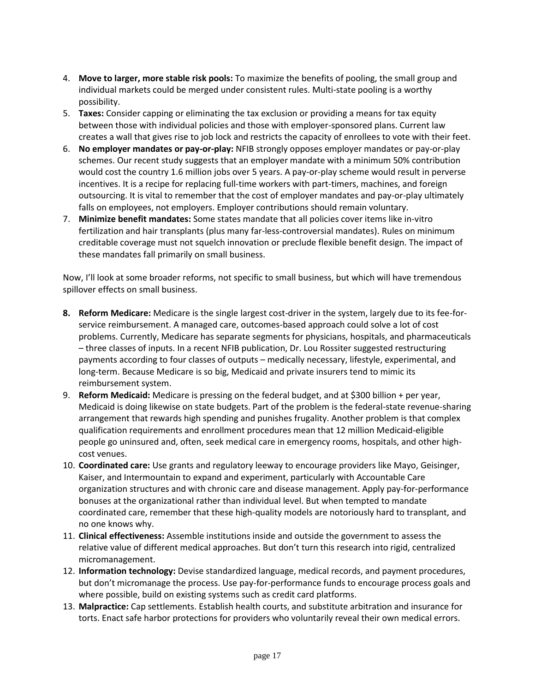- 4. **Move to larger, more stable risk pools:** To maximize the benefits of pooling, the small group and individual markets could be merged under consistent rules. Multi-state pooling is a worthy possibility.
- 5. **Taxes:** Consider capping or eliminating the tax exclusion or providing a means for tax equity between those with individual policies and those with employer-sponsored plans. Current law creates a wall that gives rise to job lock and restricts the capacity of enrollees to vote with their feet.
- 6. **No employer mandates or pay-or-play:** NFIB strongly opposes employer mandates or pay-or-play schemes. Our recent study suggests that an employer mandate with a minimum 50% contribution would cost the country 1.6 million jobs over 5 years. A pay-or-play scheme would result in perverse incentives. It is a recipe for replacing full-time workers with part-timers, machines, and foreign outsourcing. It is vital to remember that the cost of employer mandates and pay-or-play ultimately falls on employees, not employers. Employer contributions should remain voluntary.
- 7. **Minimize benefit mandates:** Some states mandate that all policies cover items like in-vitro fertilization and hair transplants (plus many far-less-controversial mandates). Rules on minimum creditable coverage must not squelch innovation or preclude flexible benefit design. The impact of these mandates fall primarily on small business.

Now, I'll look at some broader reforms, not specific to small business, but which will have tremendous spillover effects on small business.

- **8. Reform Medicare:** Medicare is the single largest cost-driver in the system, largely due to its fee-forservice reimbursement. A managed care, outcomes-based approach could solve a lot of cost problems. Currently, Medicare has separate segments for physicians, hospitals, and pharmaceuticals – three classes of inputs. In a recent NFIB publication, Dr. Lou Rossiter suggested restructuring payments according to four classes of outputs – medically necessary, lifestyle, experimental, and long-term. Because Medicare is so big, Medicaid and private insurers tend to mimic its reimbursement system.
- 9. **Reform Medicaid:** Medicare is pressing on the federal budget, and at \$300 billion + per year, Medicaid is doing likewise on state budgets. Part of the problem is the federal-state revenue-sharing arrangement that rewards high spending and punishes frugality. Another problem is that complex qualification requirements and enrollment procedures mean that 12 million Medicaid-eligible people go uninsured and, often, seek medical care in emergency rooms, hospitals, and other highcost venues.
- 10. **Coordinated care:** Use grants and regulatory leeway to encourage providers like Mayo, Geisinger, Kaiser, and Intermountain to expand and experiment, particularly with Accountable Care organization structures and with chronic care and disease management. Apply pay-for-performance bonuses at the organizational rather than individual level. But when tempted to mandate coordinated care, remember that these high-quality models are notoriously hard to transplant, and no one knows why.
- 11. **Clinical effectiveness:** Assemble institutions inside and outside the government to assess the relative value of different medical approaches. But don't turn this research into rigid, centralized micromanagement.
- 12. **Information technology:** Devise standardized language, medical records, and payment procedures, but don't micromanage the process. Use pay-for-performance funds to encourage process goals and where possible, build on existing systems such as credit card platforms.
- 13. **Malpractice:** Cap settlements. Establish health courts, and substitute arbitration and insurance for torts. Enact safe harbor protections for providers who voluntarily reveal their own medical errors.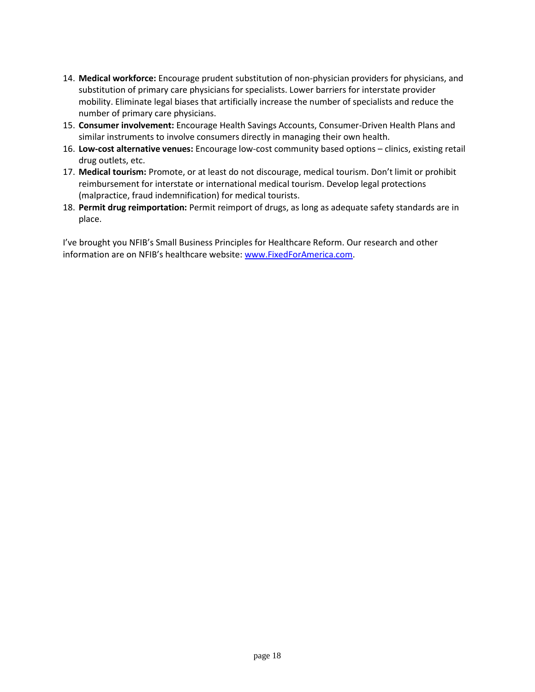- 14. **Medical workforce:** Encourage prudent substitution of non-physician providers for physicians, and substitution of primary care physicians for specialists. Lower barriers for interstate provider mobility. Eliminate legal biases that artificially increase the number of specialists and reduce the number of primary care physicians.
- 15. **Consumer involvement:** Encourage Health Savings Accounts, Consumer-Driven Health Plans and similar instruments to involve consumers directly in managing their own health.
- 16. **Low-cost alternative venues:** Encourage low-cost community based options clinics, existing retail drug outlets, etc.
- 17. **Medical tourism:** Promote, or at least do not discourage, medical tourism. Don't limit or prohibit reimbursement for interstate or international medical tourism. Develop legal protections (malpractice, fraud indemnification) for medical tourists.
- 18. **Permit drug reimportation:** Permit reimport of drugs, as long as adequate safety standards are in place.

I've brought you NFIB's Small Business Principles for Healthcare Reform. Our research and other information are on NFIB's healthcare website: [www.FixedForAmerica.com.](www.FixedForAmerica.com)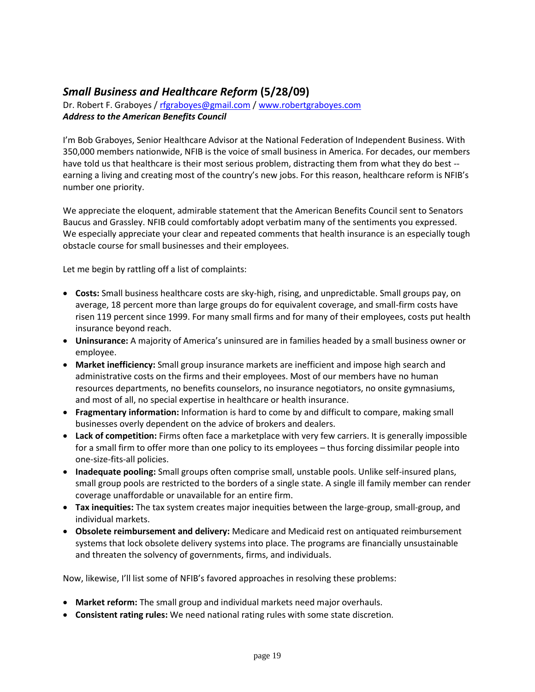## *Small Business and Healthcare Reform* **(5/28/09)**

Dr. Robert F. Graboyes / [rfgraboyes@gmail.com](mailto:rfgraboyes@gmail.com) / [www.robertgraboyes.com](http://www.robertgraboyes.com/) *Address to the American Benefits Council*

I'm Bob Graboyes, Senior Healthcare Advisor at the National Federation of Independent Business. With 350,000 members nationwide, NFIB is the voice of small business in America. For decades, our members have told us that healthcare is their most serious problem, distracting them from what they do best - earning a living and creating most of the country's new jobs. For this reason, healthcare reform is NFIB's number one priority.

We appreciate the eloquent, admirable statement that the American Benefits Council sent to Senators Baucus and Grassley. NFIB could comfortably adopt verbatim many of the sentiments you expressed. We especially appreciate your clear and repeated comments that health insurance is an especially tough obstacle course for small businesses and their employees.

Let me begin by rattling off a list of complaints:

- **Costs:** Small business healthcare costs are sky-high, rising, and unpredictable. Small groups pay, on average, 18 percent more than large groups do for equivalent coverage, and small-firm costs have risen 119 percent since 1999. For many small firms and for many of their employees, costs put health insurance beyond reach.
- **Uninsurance:** A majority of America's uninsured are in families headed by a small business owner or employee.
- **Market inefficiency:** Small group insurance markets are inefficient and impose high search and administrative costs on the firms and their employees. Most of our members have no human resources departments, no benefits counselors, no insurance negotiators, no onsite gymnasiums, and most of all, no special expertise in healthcare or health insurance.
- **Fragmentary information:** Information is hard to come by and difficult to compare, making small businesses overly dependent on the advice of brokers and dealers.
- **Lack of competition:** Firms often face a marketplace with very few carriers. It is generally impossible for a small firm to offer more than one policy to its employees – thus forcing dissimilar people into one-size-fits-all policies.
- **Inadequate pooling:** Small groups often comprise small, unstable pools. Unlike self-insured plans, small group pools are restricted to the borders of a single state. A single ill family member can render coverage unaffordable or unavailable for an entire firm.
- **Tax inequities:** The tax system creates major inequities between the large-group, small-group, and individual markets.
- **Obsolete reimbursement and delivery:** Medicare and Medicaid rest on antiquated reimbursement systems that lock obsolete delivery systems into place. The programs are financially unsustainable and threaten the solvency of governments, firms, and individuals.

Now, likewise, I'll list some of NFIB's favored approaches in resolving these problems:

- **Market reform:** The small group and individual markets need major overhauls.
- **Consistent rating rules:** We need national rating rules with some state discretion.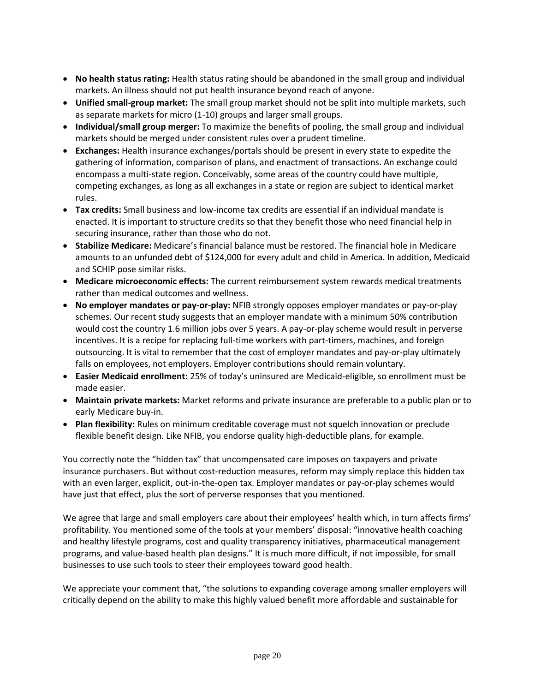- **No health status rating:** Health status rating should be abandoned in the small group and individual markets. An illness should not put health insurance beyond reach of anyone.
- **Unified small-group market:** The small group market should not be split into multiple markets, such as separate markets for micro (1-10) groups and larger small groups.
- **Individual/small group merger:** To maximize the benefits of pooling, the small group and individual markets should be merged under consistent rules over a prudent timeline.
- **Exchanges:** Health insurance exchanges/portals should be present in every state to expedite the gathering of information, comparison of plans, and enactment of transactions. An exchange could encompass a multi-state region. Conceivably, some areas of the country could have multiple, competing exchanges, as long as all exchanges in a state or region are subject to identical market rules.
- **Tax credits:** Small business and low-income tax credits are essential if an individual mandate is enacted. It is important to structure credits so that they benefit those who need financial help in securing insurance, rather than those who do not.
- **Stabilize Medicare:** Medicare's financial balance must be restored. The financial hole in Medicare amounts to an unfunded debt of \$124,000 for every adult and child in America. In addition, Medicaid and SCHIP pose similar risks.
- **Medicare microeconomic effects:** The current reimbursement system rewards medical treatments rather than medical outcomes and wellness.
- **No employer mandates or pay-or-play:** NFIB strongly opposes employer mandates or pay-or-play schemes. Our recent study suggests that an employer mandate with a minimum 50% contribution would cost the country 1.6 million jobs over 5 years. A pay-or-play scheme would result in perverse incentives. It is a recipe for replacing full-time workers with part-timers, machines, and foreign outsourcing. It is vital to remember that the cost of employer mandates and pay-or-play ultimately falls on employees, not employers. Employer contributions should remain voluntary.
- **Easier Medicaid enrollment:** 25% of today's uninsured are Medicaid-eligible, so enrollment must be made easier.
- **Maintain private markets:** Market reforms and private insurance are preferable to a public plan or to early Medicare buy-in.
- **Plan flexibility:** Rules on minimum creditable coverage must not squelch innovation or preclude flexible benefit design. Like NFIB, you endorse quality high-deductible plans, for example.

You correctly note the "hidden tax" that uncompensated care imposes on taxpayers and private insurance purchasers. But without cost-reduction measures, reform may simply replace this hidden tax with an even larger, explicit, out-in-the-open tax. Employer mandates or pay-or-play schemes would have just that effect, plus the sort of perverse responses that you mentioned.

We agree that large and small employers care about their employees' health which, in turn affects firms' profitability. You mentioned some of the tools at your members' disposal: "innovative health coaching and healthy lifestyle programs, cost and quality transparency initiatives, pharmaceutical management programs, and value-based health plan designs." It is much more difficult, if not impossible, for small businesses to use such tools to steer their employees toward good health.

We appreciate your comment that, "the solutions to expanding coverage among smaller employers will critically depend on the ability to make this highly valued benefit more affordable and sustainable for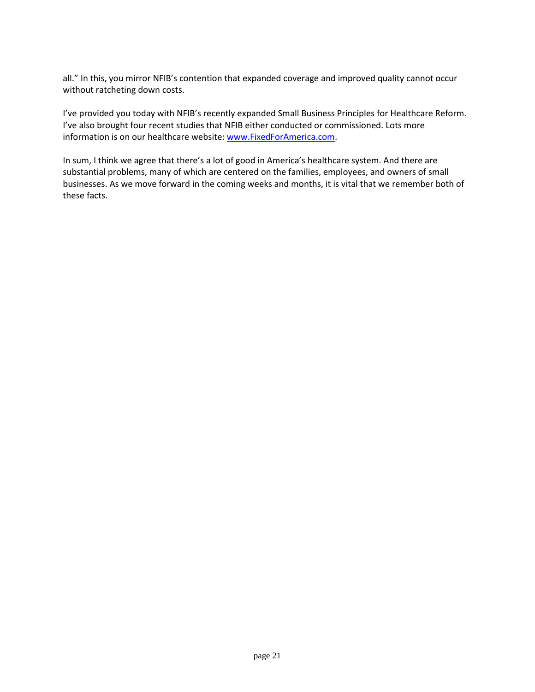all." In this, you mirror NFIB's contention that expanded coverage and improved quality cannot occur without ratcheting down costs.

I've provided you today with NFIB's recently expanded Small Business Principles for Healthcare Reform. I've also brought four recent studies that NFIB either conducted or commissioned. Lots more information is on our healthcare website[: www.FixedForAmerica.com.](www.FixedForAmerica.com)

In sum, I think we agree that there's a lot of good in America's healthcare system. And there are substantial problems, many of which are centered on the families, employees, and owners of small businesses. As we move forward in the coming weeks and months, it is vital that we remember both of these facts.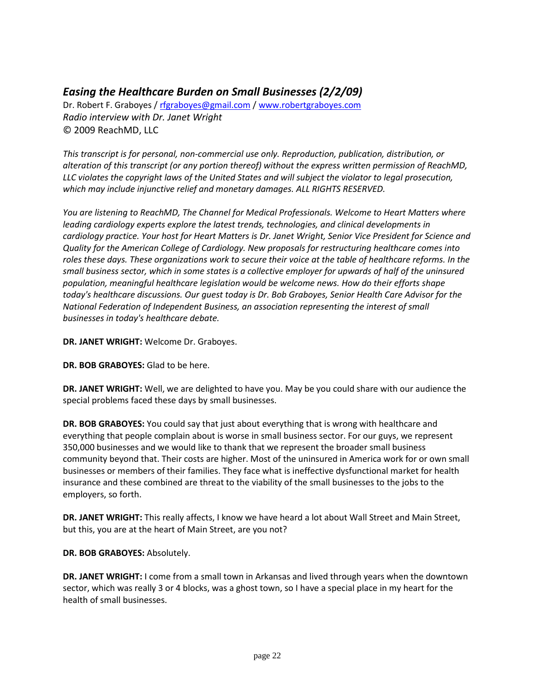## *Easing the Healthcare Burden on Small Businesses (2/2/09)*

Dr. Robert F. Graboyes / [rfgraboyes@gmail.com](mailto:rfgraboyes@gmail.com) / [www.robertgraboyes.com](http://www.robertgraboyes.com/) *Radio interview with Dr. Janet Wright* © 2009 ReachMD, LLC

*This transcript is for personal, non-commercial use only. Reproduction, publication, distribution, or alteration of this transcript (or any portion thereof) without the express written permission of ReachMD, LLC violates the copyright laws of the United States and will subject the violator to legal prosecution, which may include injunctive relief and monetary damages. ALL RIGHTS RESERVED.*

*You are listening to ReachMD, The Channel for Medical Professionals. Welcome to Heart Matters where leading cardiology experts explore the latest trends, technologies, and clinical developments in cardiology practice. Your host for Heart Matters is Dr. Janet Wright, Senior Vice President for Science and Quality for the American College of Cardiology. New proposals for restructuring healthcare comes into roles these days. These organizations work to secure their voice at the table of healthcare reforms. In the small business sector, which in some states is a collective employer for upwards of half of the uninsured population, meaningful healthcare legislation would be welcome news. How do their efforts shape today's healthcare discussions. Our guest today is Dr. Bob Graboyes, Senior Health Care Advisor for the National Federation of Independent Business, an association representing the interest of small businesses in today's healthcare debate.*

**DR. JANET WRIGHT:** Welcome Dr. Graboyes.

**DR. BOB GRABOYES:** Glad to be here.

**DR. JANET WRIGHT:** Well, we are delighted to have you. May be you could share with our audience the special problems faced these days by small businesses.

**DR. BOB GRABOYES:** You could say that just about everything that is wrong with healthcare and everything that people complain about is worse in small business sector. For our guys, we represent 350,000 businesses and we would like to thank that we represent the broader small business community beyond that. Their costs are higher. Most of the uninsured in America work for or own small businesses or members of their families. They face what is ineffective dysfunctional market for health insurance and these combined are threat to the viability of the small businesses to the jobs to the employers, so forth.

DR. JANET WRIGHT: This really affects, I know we have heard a lot about Wall Street and Main Street, but this, you are at the heart of Main Street, are you not?

**DR. BOB GRABOYES:** Absolutely.

**DR. JANET WRIGHT:** I come from a small town in Arkansas and lived through years when the downtown sector, which was really 3 or 4 blocks, was a ghost town, so I have a special place in my heart for the health of small businesses.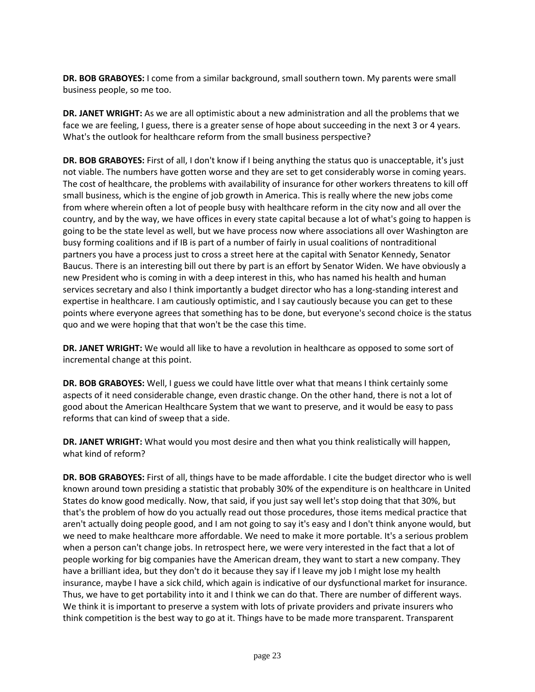**DR. BOB GRABOYES:** I come from a similar background, small southern town. My parents were small business people, so me too.

**DR. JANET WRIGHT:** As we are all optimistic about a new administration and all the problems that we face we are feeling, I guess, there is a greater sense of hope about succeeding in the next 3 or 4 years. What's the outlook for healthcare reform from the small business perspective?

**DR. BOB GRABOYES:** First of all, I don't know if I being anything the status quo is unacceptable, it's just not viable. The numbers have gotten worse and they are set to get considerably worse in coming years. The cost of healthcare, the problems with availability of insurance for other workers threatens to kill off small business, which is the engine of job growth in America. This is really where the new jobs come from where wherein often a lot of people busy with healthcare reform in the city now and all over the country, and by the way, we have offices in every state capital because a lot of what's going to happen is going to be the state level as well, but we have process now where associations all over Washington are busy forming coalitions and if IB is part of a number of fairly in usual coalitions of nontraditional partners you have a process just to cross a street here at the capital with Senator Kennedy, Senator Baucus. There is an interesting bill out there by part is an effort by Senator Widen. We have obviously a new President who is coming in with a deep interest in this, who has named his health and human services secretary and also I think importantly a budget director who has a long-standing interest and expertise in healthcare. I am cautiously optimistic, and I say cautiously because you can get to these points where everyone agrees that something has to be done, but everyone's second choice is the status quo and we were hoping that that won't be the case this time.

**DR. JANET WRIGHT:** We would all like to have a revolution in healthcare as opposed to some sort of incremental change at this point.

**DR. BOB GRABOYES:** Well, I guess we could have little over what that means I think certainly some aspects of it need considerable change, even drastic change. On the other hand, there is not a lot of good about the American Healthcare System that we want to preserve, and it would be easy to pass reforms that can kind of sweep that a side.

**DR. JANET WRIGHT:** What would you most desire and then what you think realistically will happen, what kind of reform?

**DR. BOB GRABOYES:** First of all, things have to be made affordable. I cite the budget director who is well known around town presiding a statistic that probably 30% of the expenditure is on healthcare in United States do know good medically. Now, that said, if you just say well let's stop doing that that 30%, but that's the problem of how do you actually read out those procedures, those items medical practice that aren't actually doing people good, and I am not going to say it's easy and I don't think anyone would, but we need to make healthcare more affordable. We need to make it more portable. It's a serious problem when a person can't change jobs. In retrospect here, we were very interested in the fact that a lot of people working for big companies have the American dream, they want to start a new company. They have a brilliant idea, but they don't do it because they say if I leave my job I might lose my health insurance, maybe I have a sick child, which again is indicative of our dysfunctional market for insurance. Thus, we have to get portability into it and I think we can do that. There are number of different ways. We think it is important to preserve a system with lots of private providers and private insurers who think competition is the best way to go at it. Things have to be made more transparent. Transparent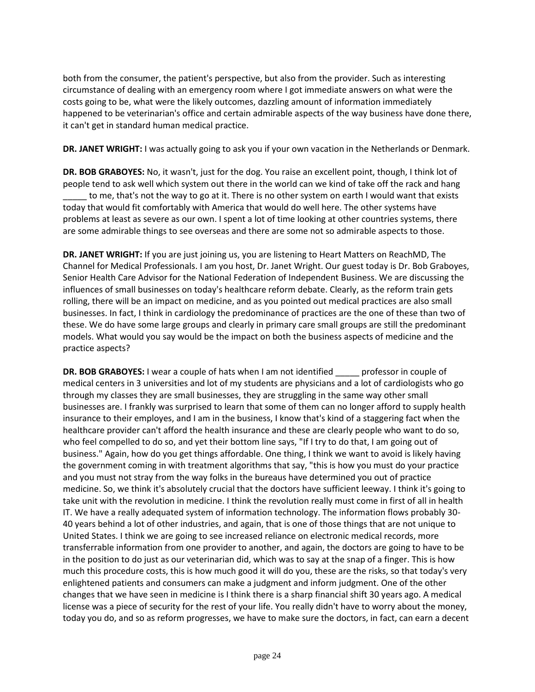both from the consumer, the patient's perspective, but also from the provider. Such as interesting circumstance of dealing with an emergency room where I got immediate answers on what were the costs going to be, what were the likely outcomes, dazzling amount of information immediately happened to be veterinarian's office and certain admirable aspects of the way business have done there, it can't get in standard human medical practice.

**DR. JANET WRIGHT:** I was actually going to ask you if your own vacation in the Netherlands or Denmark.

**DR. BOB GRABOYES:** No, it wasn't, just for the dog. You raise an excellent point, though, I think lot of people tend to ask well which system out there in the world can we kind of take off the rack and hang to me, that's not the way to go at it. There is no other system on earth I would want that exists today that would fit comfortably with America that would do well here. The other systems have problems at least as severe as our own. I spent a lot of time looking at other countries systems, there are some admirable things to see overseas and there are some not so admirable aspects to those.

**DR. JANET WRIGHT:** If you are just joining us, you are listening to Heart Matters on ReachMD, The Channel for Medical Professionals. I am you host, Dr. Janet Wright. Our guest today is Dr. Bob Graboyes, Senior Health Care Advisor for the National Federation of Independent Business. We are discussing the influences of small businesses on today's healthcare reform debate. Clearly, as the reform train gets rolling, there will be an impact on medicine, and as you pointed out medical practices are also small businesses. In fact, I think in cardiology the predominance of practices are the one of these than two of these. We do have some large groups and clearly in primary care small groups are still the predominant models. What would you say would be the impact on both the business aspects of medicine and the practice aspects?

**DR. BOB GRABOYES:** I wear a couple of hats when I am not identified professor in couple of medical centers in 3 universities and lot of my students are physicians and a lot of cardiologists who go through my classes they are small businesses, they are struggling in the same way other small businesses are. I frankly was surprised to learn that some of them can no longer afford to supply health insurance to their employes, and I am in the business, I know that's kind of a staggering fact when the healthcare provider can't afford the health insurance and these are clearly people who want to do so, who feel compelled to do so, and yet their bottom line says, "If I try to do that, I am going out of business." Again, how do you get things affordable. One thing, I think we want to avoid is likely having the government coming in with treatment algorithms that say, "this is how you must do your practice and you must not stray from the way folks in the bureaus have determined you out of practice medicine. So, we think it's absolutely crucial that the doctors have sufficient leeway. I think it's going to take unit with the revolution in medicine. I think the revolution really must come in first of all in health IT. We have a really adequated system of information technology. The information flows probably 30- 40 years behind a lot of other industries, and again, that is one of those things that are not unique to United States. I think we are going to see increased reliance on electronic medical records, more transferrable information from one provider to another, and again, the doctors are going to have to be in the position to do just as our veterinarian did, which was to say at the snap of a finger. This is how much this procedure costs, this is how much good it will do you, these are the risks, so that today's very enlightened patients and consumers can make a judgment and inform judgment. One of the other changes that we have seen in medicine is I think there is a sharp financial shift 30 years ago. A medical license was a piece of security for the rest of your life. You really didn't have to worry about the money, today you do, and so as reform progresses, we have to make sure the doctors, in fact, can earn a decent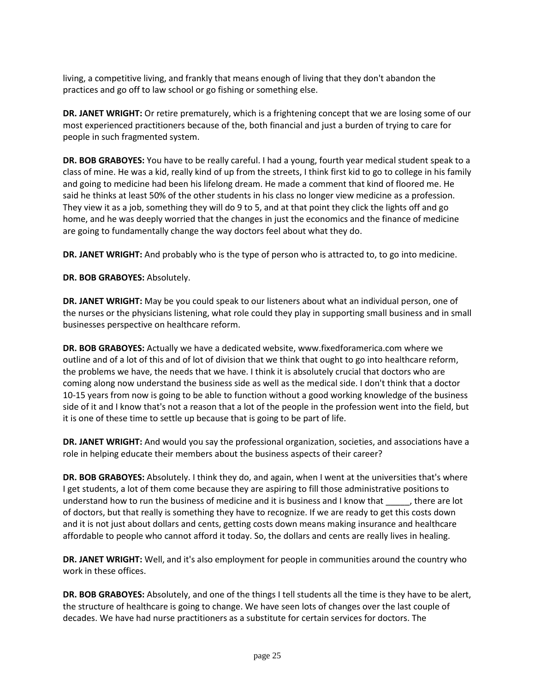living, a competitive living, and frankly that means enough of living that they don't abandon the practices and go off to law school or go fishing or something else.

**DR. JANET WRIGHT:** Or retire prematurely, which is a frightening concept that we are losing some of our most experienced practitioners because of the, both financial and just a burden of trying to care for people in such fragmented system.

**DR. BOB GRABOYES:** You have to be really careful. I had a young, fourth year medical student speak to a class of mine. He was a kid, really kind of up from the streets, I think first kid to go to college in his family and going to medicine had been his lifelong dream. He made a comment that kind of floored me. He said he thinks at least 50% of the other students in his class no longer view medicine as a profession. They view it as a job, something they will do 9 to 5, and at that point they click the lights off and go home, and he was deeply worried that the changes in just the economics and the finance of medicine are going to fundamentally change the way doctors feel about what they do.

**DR. JANET WRIGHT:** And probably who is the type of person who is attracted to, to go into medicine.

**DR. BOB GRABOYES:** Absolutely.

**DR. JANET WRIGHT:** May be you could speak to our listeners about what an individual person, one of the nurses or the physicians listening, what role could they play in supporting small business and in small businesses perspective on healthcare reform.

**DR. BOB GRABOYES:** Actually we have a dedicated website, www.fixedforamerica.com where we outline and of a lot of this and of lot of division that we think that ought to go into healthcare reform, the problems we have, the needs that we have. I think it is absolutely crucial that doctors who are coming along now understand the business side as well as the medical side. I don't think that a doctor 10-15 years from now is going to be able to function without a good working knowledge of the business side of it and I know that's not a reason that a lot of the people in the profession went into the field, but it is one of these time to settle up because that is going to be part of life.

**DR. JANET WRIGHT:** And would you say the professional organization, societies, and associations have a role in helping educate their members about the business aspects of their career?

**DR. BOB GRABOYES:** Absolutely. I think they do, and again, when I went at the universities that's where I get students, a lot of them come because they are aspiring to fill those administrative positions to understand how to run the business of medicine and it is business and I know that \_\_\_\_\_, there are lot of doctors, but that really is something they have to recognize. If we are ready to get this costs down and it is not just about dollars and cents, getting costs down means making insurance and healthcare affordable to people who cannot afford it today. So, the dollars and cents are really lives in healing.

**DR. JANET WRIGHT:** Well, and it's also employment for people in communities around the country who work in these offices.

**DR. BOB GRABOYES:** Absolutely, and one of the things I tell students all the time is they have to be alert, the structure of healthcare is going to change. We have seen lots of changes over the last couple of decades. We have had nurse practitioners as a substitute for certain services for doctors. The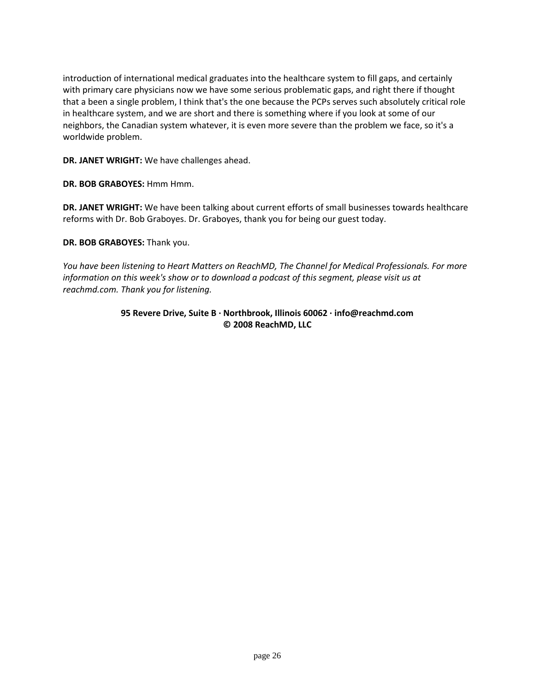introduction of international medical graduates into the healthcare system to fill gaps, and certainly with primary care physicians now we have some serious problematic gaps, and right there if thought that a been a single problem, I think that's the one because the PCPs serves such absolutely critical role in healthcare system, and we are short and there is something where if you look at some of our neighbors, the Canadian system whatever, it is even more severe than the problem we face, so it's a worldwide problem.

**DR. JANET WRIGHT:** We have challenges ahead.

**DR. BOB GRABOYES:** Hmm Hmm.

**DR. JANET WRIGHT:** We have been talking about current efforts of small businesses towards healthcare reforms with Dr. Bob Graboyes. Dr. Graboyes, thank you for being our guest today.

**DR. BOB GRABOYES:** Thank you.

*You have been listening to Heart Matters on ReachMD, The Channel for Medical Professionals. For more information on this week's show or to download a podcast of this segment, please visit us at reachmd.com. Thank you for listening.*

### **95 Revere Drive, Suite B · Northbrook, Illinois 60062 · info@reachmd.com © 2008 ReachMD, LLC**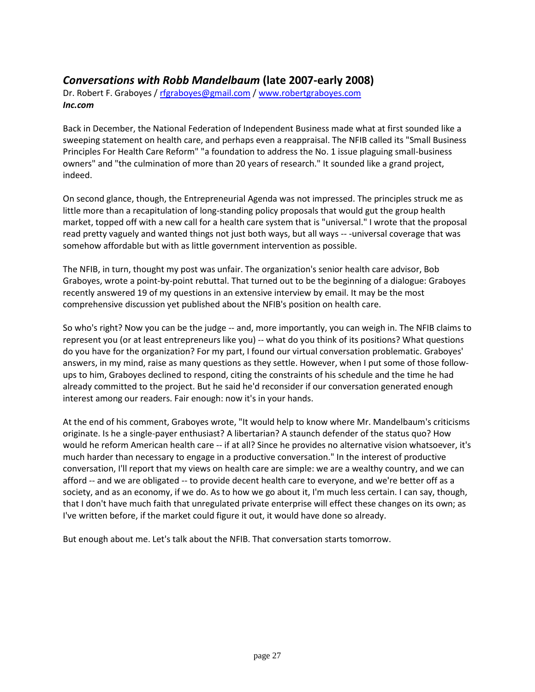### *Conversations with Robb Mandelbaum* **(late 2007-early 2008)**

Dr. Robert F. Graboyes / [rfgraboyes@gmail.com](mailto:rfgraboyes@gmail.com) / [www.robertgraboyes.com](http://www.robertgraboyes.com/) *Inc.com*

Back in December, the National Federation of Independent Business made what at first sounded like a sweeping statement on health care, and perhaps even a reappraisal. The NFIB called its "Small Business Principles For Health Care Reform" "a foundation to address the No. 1 issue plaguing small-business owners" and "the culmination of more than 20 years of research." It sounded like a grand project, indeed.

On second glance, though, the Entrepreneurial Agenda was not impressed. The principles struck me as little more than a recapitulation of long-standing policy proposals that would gut the group health market, topped off with a new call for a health care system that is "universal." I wrote that the proposal read pretty vaguely and wanted things not just both ways, but all ways -- -universal coverage that was somehow affordable but with as little government intervention as possible.

The NFIB, in turn, thought my post was unfair. The organization's senior health care advisor, Bob Graboyes, wrote a point-by-point rebuttal. That turned out to be the beginning of a dialogue: Graboyes recently answered 19 of my questions in an extensive interview by email. It may be the most comprehensive discussion yet published about the NFIB's position on health care.

So who's right? Now you can be the judge -- and, more importantly, you can weigh in. The NFIB claims to represent you (or at least entrepreneurs like you) -- what do you think of its positions? What questions do you have for the organization? For my part, I found our virtual conversation problematic. Graboyes' answers, in my mind, raise as many questions as they settle. However, when I put some of those followups to him, Graboyes declined to respond, citing the constraints of his schedule and the time he had already committed to the project. But he said he'd reconsider if our conversation generated enough interest among our readers. Fair enough: now it's in your hands.

At the end of his comment, Graboyes wrote, "It would help to know where Mr. Mandelbaum's criticisms originate. Is he a single-payer enthusiast? A libertarian? A staunch defender of the status quo? How would he reform American health care -- if at all? Since he provides no alternative vision whatsoever, it's much harder than necessary to engage in a productive conversation." In the interest of productive conversation, I'll report that my views on health care are simple: we are a wealthy country, and we can afford -- and we are obligated -- to provide decent health care to everyone, and we're better off as a society, and as an economy, if we do. As to how we go about it, I'm much less certain. I can say, though, that I don't have much faith that unregulated private enterprise will effect these changes on its own; as I've written before, if the market could figure it out, it would have done so already.

But enough about me. Let's talk about the NFIB. That conversation starts tomorrow.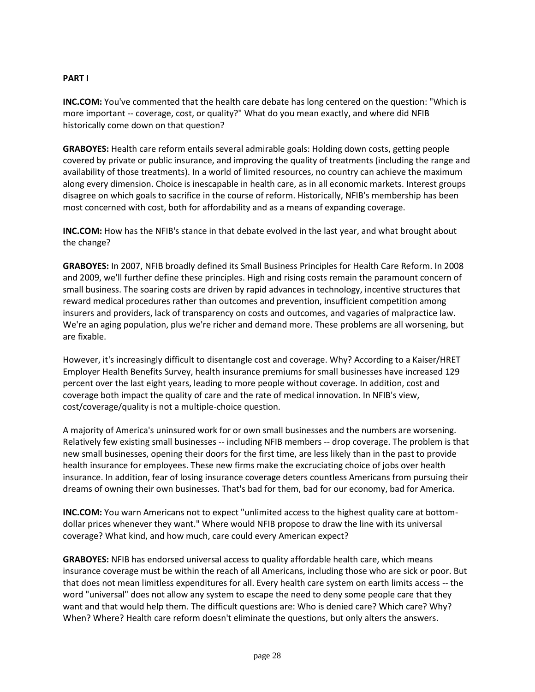### **PART I**

**INC.COM:** You've commented that the health care debate has long centered on the question: "Which is more important -- coverage, cost, or quality?" What do you mean exactly, and where did NFIB historically come down on that question?

**GRABOYES:** Health care reform entails several admirable goals: Holding down costs, getting people covered by private or public insurance, and improving the quality of treatments (including the range and availability of those treatments). In a world of limited resources, no country can achieve the maximum along every dimension. Choice is inescapable in health care, as in all economic markets. Interest groups disagree on which goals to sacrifice in the course of reform. Historically, NFIB's membership has been most concerned with cost, both for affordability and as a means of expanding coverage.

**INC.COM:** How has the NFIB's stance in that debate evolved in the last year, and what brought about the change?

**GRABOYES:** In 2007, NFIB broadly defined its Small Business Principles for Health Care Reform. In 2008 and 2009, we'll further define these principles. High and rising costs remain the paramount concern of small business. The soaring costs are driven by rapid advances in technology, incentive structures that reward medical procedures rather than outcomes and prevention, insufficient competition among insurers and providers, lack of transparency on costs and outcomes, and vagaries of malpractice law. We're an aging population, plus we're richer and demand more. These problems are all worsening, but are fixable.

However, it's increasingly difficult to disentangle cost and coverage. Why? According to a Kaiser/HRET Employer Health Benefits Survey, health insurance premiums for small businesses have increased 129 percent over the last eight years, leading to more people without coverage. In addition, cost and coverage both impact the quality of care and the rate of medical innovation. In NFIB's view, cost/coverage/quality is not a multiple-choice question.

A majority of America's uninsured work for or own small businesses and the numbers are worsening. Relatively few existing small businesses -- including NFIB members -- drop coverage. The problem is that new small businesses, opening their doors for the first time, are less likely than in the past to provide health insurance for employees. These new firms make the excruciating choice of jobs over health insurance. In addition, fear of losing insurance coverage deters countless Americans from pursuing their dreams of owning their own businesses. That's bad for them, bad for our economy, bad for America.

**INC.COM:** You warn Americans not to expect "unlimited access to the highest quality care at bottomdollar prices whenever they want." Where would NFIB propose to draw the line with its universal coverage? What kind, and how much, care could every American expect?

**GRABOYES:** NFIB has endorsed universal access to quality affordable health care, which means insurance coverage must be within the reach of all Americans, including those who are sick or poor. But that does not mean limitless expenditures for all. Every health care system on earth limits access -- the word "universal" does not allow any system to escape the need to deny some people care that they want and that would help them. The difficult questions are: Who is denied care? Which care? Why? When? Where? Health care reform doesn't eliminate the questions, but only alters the answers.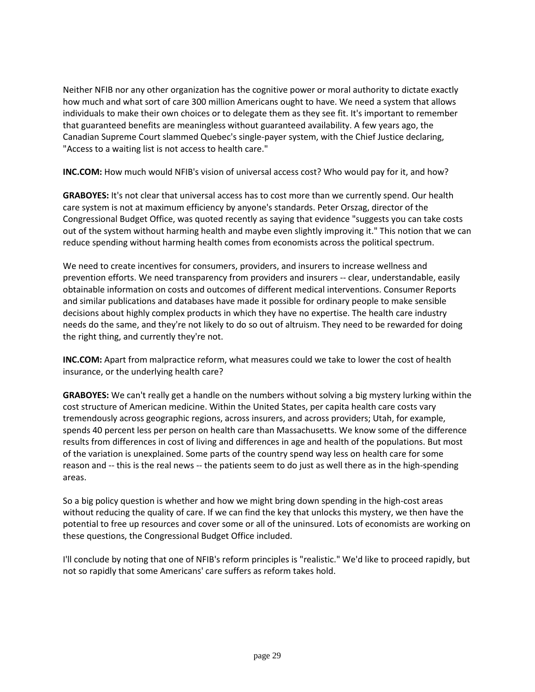Neither NFIB nor any other organization has the cognitive power or moral authority to dictate exactly how much and what sort of care 300 million Americans ought to have. We need a system that allows individuals to make their own choices or to delegate them as they see fit. It's important to remember that guaranteed benefits are meaningless without guaranteed availability. A few years ago, the Canadian Supreme Court slammed Quebec's single-payer system, with the Chief Justice declaring, "Access to a waiting list is not access to health care."

**INC.COM:** How much would NFIB's vision of universal access cost? Who would pay for it, and how?

**GRABOYES:** It's not clear that universal access has to cost more than we currently spend. Our health care system is not at maximum efficiency by anyone's standards. Peter Orszag, director of the Congressional Budget Office, was quoted recently as saying that evidence "suggests you can take costs out of the system without harming health and maybe even slightly improving it." This notion that we can reduce spending without harming health comes from economists across the political spectrum.

We need to create incentives for consumers, providers, and insurers to increase wellness and prevention efforts. We need transparency from providers and insurers -- clear, understandable, easily obtainable information on costs and outcomes of different medical interventions. Consumer Reports and similar publications and databases have made it possible for ordinary people to make sensible decisions about highly complex products in which they have no expertise. The health care industry needs do the same, and they're not likely to do so out of altruism. They need to be rewarded for doing the right thing, and currently they're not.

**INC.COM:** Apart from malpractice reform, what measures could we take to lower the cost of health insurance, or the underlying health care?

**GRABOYES:** We can't really get a handle on the numbers without solving a big mystery lurking within the cost structure of American medicine. Within the United States, per capita health care costs vary tremendously across geographic regions, across insurers, and across providers; Utah, for example, spends 40 percent less per person on health care than Massachusetts. We know some of the difference results from differences in cost of living and differences in age and health of the populations. But most of the variation is unexplained. Some parts of the country spend way less on health care for some reason and -- this is the real news -- the patients seem to do just as well there as in the high-spending areas.

So a big policy question is whether and how we might bring down spending in the high-cost areas without reducing the quality of care. If we can find the key that unlocks this mystery, we then have the potential to free up resources and cover some or all of the uninsured. Lots of economists are working on these questions, the Congressional Budget Office included.

I'll conclude by noting that one of NFIB's reform principles is "realistic." We'd like to proceed rapidly, but not so rapidly that some Americans' care suffers as reform takes hold.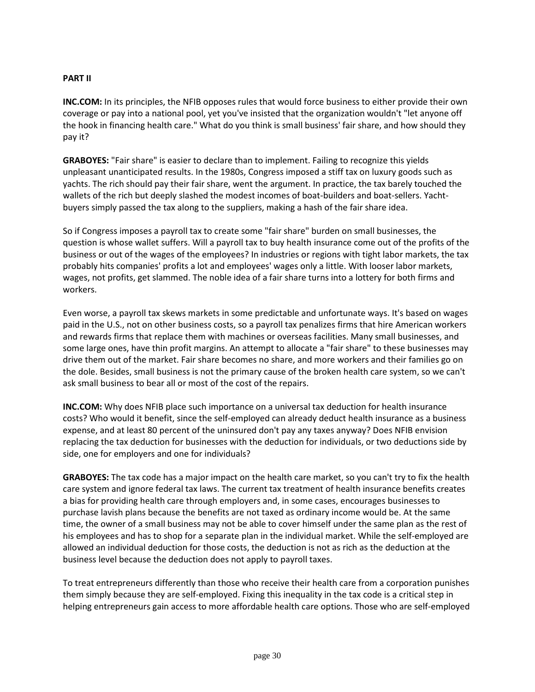### **PART II**

**INC.COM:** In its principles, the NFIB opposes rules that would force business to either provide their own coverage or pay into a national pool, yet you've insisted that the organization wouldn't "let anyone off the hook in financing health care." What do you think is small business' fair share, and how should they pay it?

**GRABOYES:** "Fair share" is easier to declare than to implement. Failing to recognize this yields unpleasant unanticipated results. In the 1980s, Congress imposed a stiff tax on luxury goods such as yachts. The rich should pay their fair share, went the argument. In practice, the tax barely touched the wallets of the rich but deeply slashed the modest incomes of boat-builders and boat-sellers. Yachtbuyers simply passed the tax along to the suppliers, making a hash of the fair share idea.

So if Congress imposes a payroll tax to create some "fair share" burden on small businesses, the question is whose wallet suffers. Will a payroll tax to buy health insurance come out of the profits of the business or out of the wages of the employees? In industries or regions with tight labor markets, the tax probably hits companies' profits a lot and employees' wages only a little. With looser labor markets, wages, not profits, get slammed. The noble idea of a fair share turns into a lottery for both firms and workers.

Even worse, a payroll tax skews markets in some predictable and unfortunate ways. It's based on wages paid in the U.S., not on other business costs, so a payroll tax penalizes firms that hire American workers and rewards firms that replace them with machines or overseas facilities. Many small businesses, and some large ones, have thin profit margins. An attempt to allocate a "fair share" to these businesses may drive them out of the market. Fair share becomes no share, and more workers and their families go on the dole. Besides, small business is not the primary cause of the broken health care system, so we can't ask small business to bear all or most of the cost of the repairs.

**INC.COM:** Why does NFIB place such importance on a universal tax deduction for health insurance costs? Who would it benefit, since the self-employed can already deduct health insurance as a business expense, and at least 80 percent of the uninsured don't pay any taxes anyway? Does NFIB envision replacing the tax deduction for businesses with the deduction for individuals, or two deductions side by side, one for employers and one for individuals?

**GRABOYES:** The tax code has a major impact on the health care market, so you can't try to fix the health care system and ignore federal tax laws. The current tax treatment of health insurance benefits creates a bias for providing health care through employers and, in some cases, encourages businesses to purchase lavish plans because the benefits are not taxed as ordinary income would be. At the same time, the owner of a small business may not be able to cover himself under the same plan as the rest of his employees and has to shop for a separate plan in the individual market. While the self-employed are allowed an individual deduction for those costs, the deduction is not as rich as the deduction at the business level because the deduction does not apply to payroll taxes.

To treat entrepreneurs differently than those who receive their health care from a corporation punishes them simply because they are self-employed. Fixing this inequality in the tax code is a critical step in helping entrepreneurs gain access to more affordable health care options. Those who are self-employed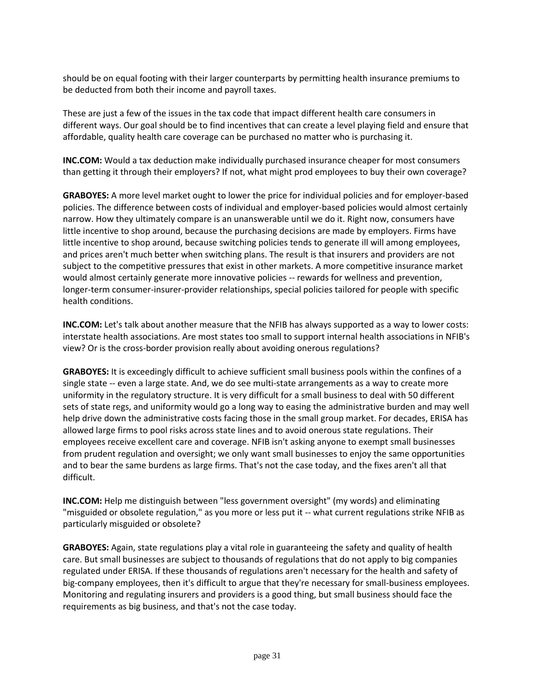should be on equal footing with their larger counterparts by permitting health insurance premiums to be deducted from both their income and payroll taxes.

These are just a few of the issues in the tax code that impact different health care consumers in different ways. Our goal should be to find incentives that can create a level playing field and ensure that affordable, quality health care coverage can be purchased no matter who is purchasing it.

**INC.COM:** Would a tax deduction make individually purchased insurance cheaper for most consumers than getting it through their employers? If not, what might prod employees to buy their own coverage?

**GRABOYES:** A more level market ought to lower the price for individual policies and for employer-based policies. The difference between costs of individual and employer-based policies would almost certainly narrow. How they ultimately compare is an unanswerable until we do it. Right now, consumers have little incentive to shop around, because the purchasing decisions are made by employers. Firms have little incentive to shop around, because switching policies tends to generate ill will among employees, and prices aren't much better when switching plans. The result is that insurers and providers are not subject to the competitive pressures that exist in other markets. A more competitive insurance market would almost certainly generate more innovative policies -- rewards for wellness and prevention, longer-term consumer-insurer-provider relationships, special policies tailored for people with specific health conditions.

**INC.COM:** Let's talk about another measure that the NFIB has always supported as a way to lower costs: interstate health associations. Are most states too small to support internal health associations in NFIB's view? Or is the cross-border provision really about avoiding onerous regulations?

**GRABOYES:** It is exceedingly difficult to achieve sufficient small business pools within the confines of a single state -- even a large state. And, we do see multi-state arrangements as a way to create more uniformity in the regulatory structure. It is very difficult for a small business to deal with 50 different sets of state regs, and uniformity would go a long way to easing the administrative burden and may well help drive down the administrative costs facing those in the small group market. For decades, ERISA has allowed large firms to pool risks across state lines and to avoid onerous state regulations. Their employees receive excellent care and coverage. NFIB isn't asking anyone to exempt small businesses from prudent regulation and oversight; we only want small businesses to enjoy the same opportunities and to bear the same burdens as large firms. That's not the case today, and the fixes aren't all that difficult.

**INC.COM:** Help me distinguish between "less government oversight" (my words) and eliminating "misguided or obsolete regulation," as you more or less put it -- what current regulations strike NFIB as particularly misguided or obsolete?

**GRABOYES:** Again, state regulations play a vital role in guaranteeing the safety and quality of health care. But small businesses are subject to thousands of regulations that do not apply to big companies regulated under ERISA. If these thousands of regulations aren't necessary for the health and safety of big-company employees, then it's difficult to argue that they're necessary for small-business employees. Monitoring and regulating insurers and providers is a good thing, but small business should face the requirements as big business, and that's not the case today.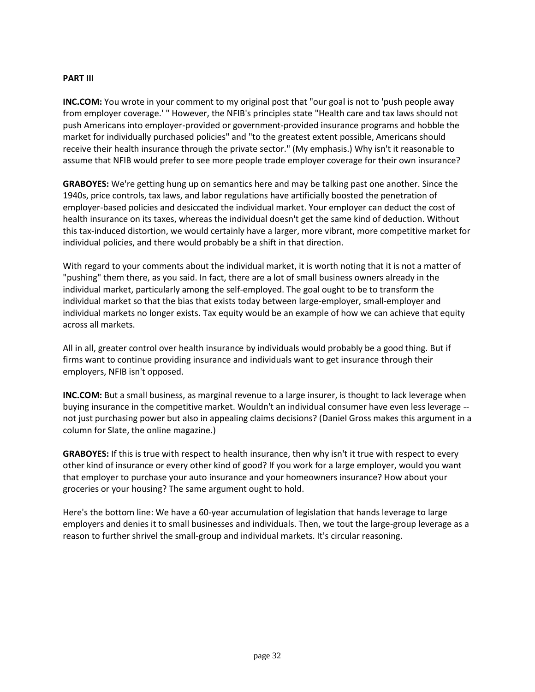#### **PART III**

**INC.COM:** You wrote in your comment to my original post that "our goal is not to 'push people away from employer coverage.' " However, the NFIB's principles state "Health care and tax laws should not push Americans into employer-provided or government-provided insurance programs and hobble the market for individually purchased policies" and "to the greatest extent possible, Americans should receive their health insurance through the private sector." (My emphasis.) Why isn't it reasonable to assume that NFIB would prefer to see more people trade employer coverage for their own insurance?

**GRABOYES:** We're getting hung up on semantics here and may be talking past one another. Since the 1940s, price controls, tax laws, and labor regulations have artificially boosted the penetration of employer-based policies and desiccated the individual market. Your employer can deduct the cost of health insurance on its taxes, whereas the individual doesn't get the same kind of deduction. Without this tax-induced distortion, we would certainly have a larger, more vibrant, more competitive market for individual policies, and there would probably be a shift in that direction.

With regard to your comments about the individual market, it is worth noting that it is not a matter of "pushing" them there, as you said. In fact, there are a lot of small business owners already in the individual market, particularly among the self-employed. The goal ought to be to transform the individual market so that the bias that exists today between large-employer, small-employer and individual markets no longer exists. Tax equity would be an example of how we can achieve that equity across all markets.

All in all, greater control over health insurance by individuals would probably be a good thing. But if firms want to continue providing insurance and individuals want to get insurance through their employers, NFIB isn't opposed.

**INC.COM:** But a small business, as marginal revenue to a large insurer, is thought to lack leverage when buying insurance in the competitive market. Wouldn't an individual consumer have even less leverage - not just purchasing power but also in appealing claims decisions? (Daniel Gross makes this argument in a column for Slate, the online magazine.)

**GRABOYES:** If this is true with respect to health insurance, then why isn't it true with respect to every other kind of insurance or every other kind of good? If you work for a large employer, would you want that employer to purchase your auto insurance and your homeowners insurance? How about your groceries or your housing? The same argument ought to hold.

Here's the bottom line: We have a 60-year accumulation of legislation that hands leverage to large employers and denies it to small businesses and individuals. Then, we tout the large-group leverage as a reason to further shrivel the small-group and individual markets. It's circular reasoning.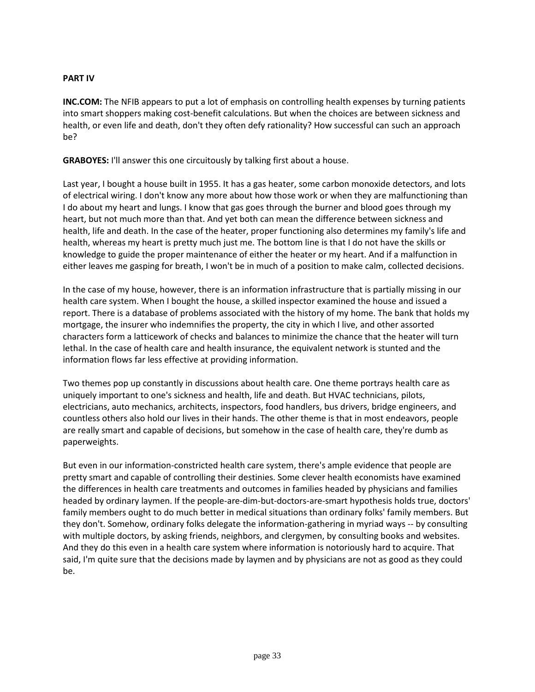### **PART IV**

**INC.COM:** The NFIB appears to put a lot of emphasis on controlling health expenses by turning patients into smart shoppers making cost-benefit calculations. But when the choices are between sickness and health, or even life and death, don't they often defy rationality? How successful can such an approach be?

**GRABOYES:** I'll answer this one circuitously by talking first about a house.

Last year, I bought a house built in 1955. It has a gas heater, some carbon monoxide detectors, and lots of electrical wiring. I don't know any more about how those work or when they are malfunctioning than I do about my heart and lungs. I know that gas goes through the burner and blood goes through my heart, but not much more than that. And yet both can mean the difference between sickness and health, life and death. In the case of the heater, proper functioning also determines my family's life and health, whereas my heart is pretty much just me. The bottom line is that I do not have the skills or knowledge to guide the proper maintenance of either the heater or my heart. And if a malfunction in either leaves me gasping for breath, I won't be in much of a position to make calm, collected decisions.

In the case of my house, however, there is an information infrastructure that is partially missing in our health care system. When I bought the house, a skilled inspector examined the house and issued a report. There is a database of problems associated with the history of my home. The bank that holds my mortgage, the insurer who indemnifies the property, the city in which I live, and other assorted characters form a latticework of checks and balances to minimize the chance that the heater will turn lethal. In the case of health care and health insurance, the equivalent network is stunted and the information flows far less effective at providing information.

Two themes pop up constantly in discussions about health care. One theme portrays health care as uniquely important to one's sickness and health, life and death. But HVAC technicians, pilots, electricians, auto mechanics, architects, inspectors, food handlers, bus drivers, bridge engineers, and countless others also hold our lives in their hands. The other theme is that in most endeavors, people are really smart and capable of decisions, but somehow in the case of health care, they're dumb as paperweights.

But even in our information-constricted health care system, there's ample evidence that people are pretty smart and capable of controlling their destinies. Some clever health economists have examined the differences in health care treatments and outcomes in families headed by physicians and families headed by ordinary laymen. If the people-are-dim-but-doctors-are-smart hypothesis holds true, doctors' family members ought to do much better in medical situations than ordinary folks' family members. But they don't. Somehow, ordinary folks delegate the information-gathering in myriad ways -- by consulting with multiple doctors, by asking friends, neighbors, and clergymen, by consulting books and websites. And they do this even in a health care system where information is notoriously hard to acquire. That said, I'm quite sure that the decisions made by laymen and by physicians are not as good as they could be.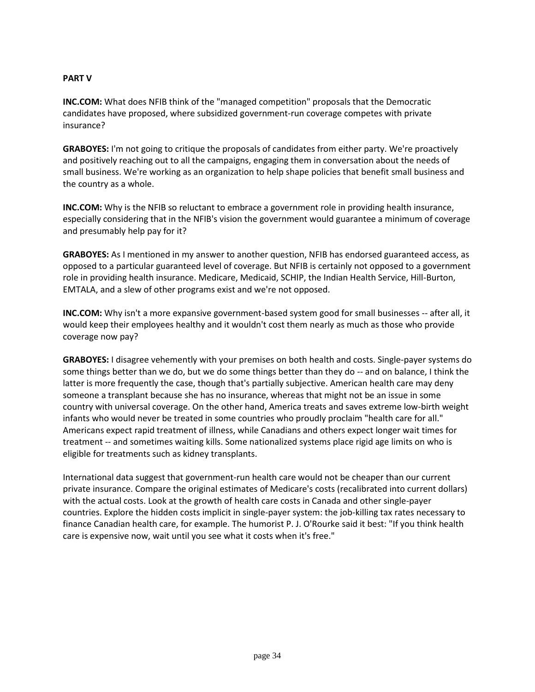### **PART V**

**INC.COM:** What does NFIB think of the "managed competition" proposals that the Democratic candidates have proposed, where subsidized government-run coverage competes with private insurance?

**GRABOYES:** I'm not going to critique the proposals of candidates from either party. We're proactively and positively reaching out to all the campaigns, engaging them in conversation about the needs of small business. We're working as an organization to help shape policies that benefit small business and the country as a whole.

**INC.COM:** Why is the NFIB so reluctant to embrace a government role in providing health insurance, especially considering that in the NFIB's vision the government would guarantee a minimum of coverage and presumably help pay for it?

**GRABOYES:** As I mentioned in my answer to another question, NFIB has endorsed guaranteed access, as opposed to a particular guaranteed level of coverage. But NFIB is certainly not opposed to a government role in providing health insurance. Medicare, Medicaid, SCHIP, the Indian Health Service, Hill-Burton, EMTALA, and a slew of other programs exist and we're not opposed.

**INC.COM:** Why isn't a more expansive government-based system good for small businesses -- after all, it would keep their employees healthy and it wouldn't cost them nearly as much as those who provide coverage now pay?

**GRABOYES:** I disagree vehemently with your premises on both health and costs. Single-payer systems do some things better than we do, but we do some things better than they do -- and on balance, I think the latter is more frequently the case, though that's partially subjective. American health care may deny someone a transplant because she has no insurance, whereas that might not be an issue in some country with universal coverage. On the other hand, America treats and saves extreme low-birth weight infants who would never be treated in some countries who proudly proclaim "health care for all." Americans expect rapid treatment of illness, while Canadians and others expect longer wait times for treatment -- and sometimes waiting kills. Some nationalized systems place rigid age limits on who is eligible for treatments such as kidney transplants.

International data suggest that government-run health care would not be cheaper than our current private insurance. Compare the original estimates of Medicare's costs (recalibrated into current dollars) with the actual costs. Look at the growth of health care costs in Canada and other single-payer countries. Explore the hidden costs implicit in single-payer system: the job-killing tax rates necessary to finance Canadian health care, for example. The humorist P. J. O'Rourke said it best: "If you think health care is expensive now, wait until you see what it costs when it's free."